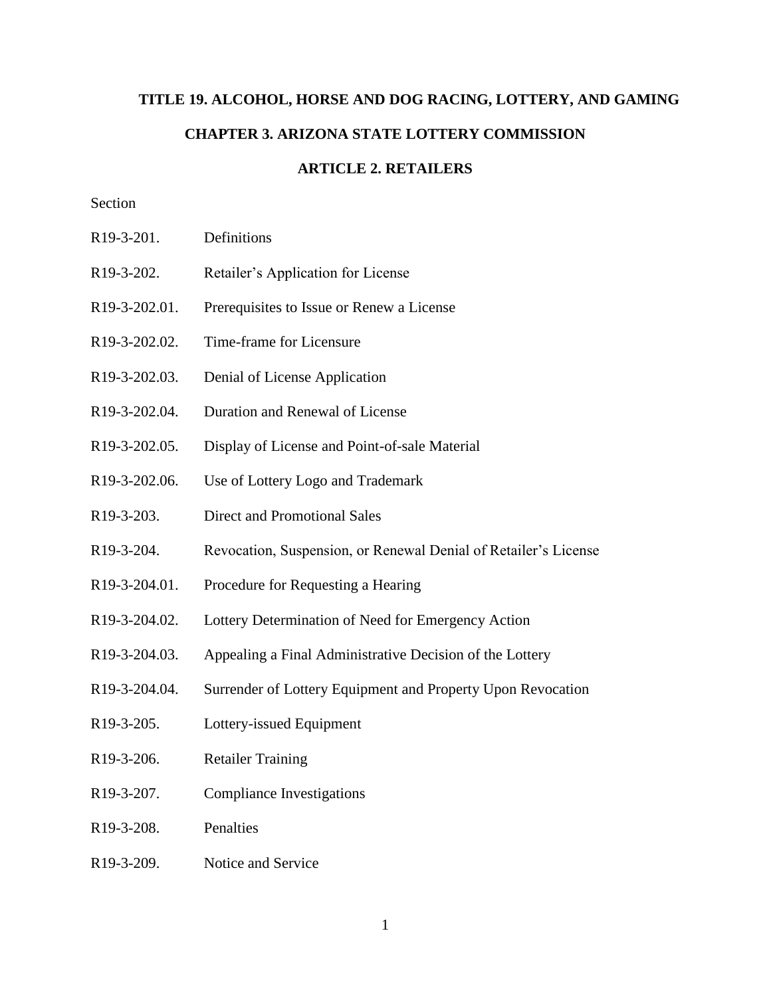# **TITLE 19. ALCOHOL, HORSE AND DOG RACING, LOTTERY, AND GAMING CHAPTER 3. ARIZONA STATE LOTTERY COMMISSION**

# **ARTICLE 2. RETAILERS**

## Section

- R19-3-201. Definitions
- R19-3-202. Retailer's Application for License
- R19-3-202.01. Prerequisites to Issue or Renew a License
- R19-3-202.02. Time-frame for Licensure
- R19-3-202.03. Denial of License Application
- R19-3-202.04. Duration and Renewal of License
- R19-3-202.05. Display of License and Point-of-sale Material
- R19-3-202.06. Use of Lottery Logo and Trademark
- R19-3-203. Direct and Promotional Sales
- R19-3-204. Revocation, Suspension, or Renewal Denial of Retailer's License
- R19-3-204.01. Procedure for Requesting a Hearing
- R19-3-204.02. Lottery Determination of Need for Emergency Action
- R19-3-204.03. Appealing a Final Administrative Decision of the Lottery
- R19-3-204.04. Surrender of Lottery Equipment and Property Upon Revocation
- R19-3-205. Lottery-issued Equipment
- R19-3-206. Retailer Training
- R19-3-207. Compliance Investigations
- R19-3-208. Penalties
- R19-3-209. Notice and Service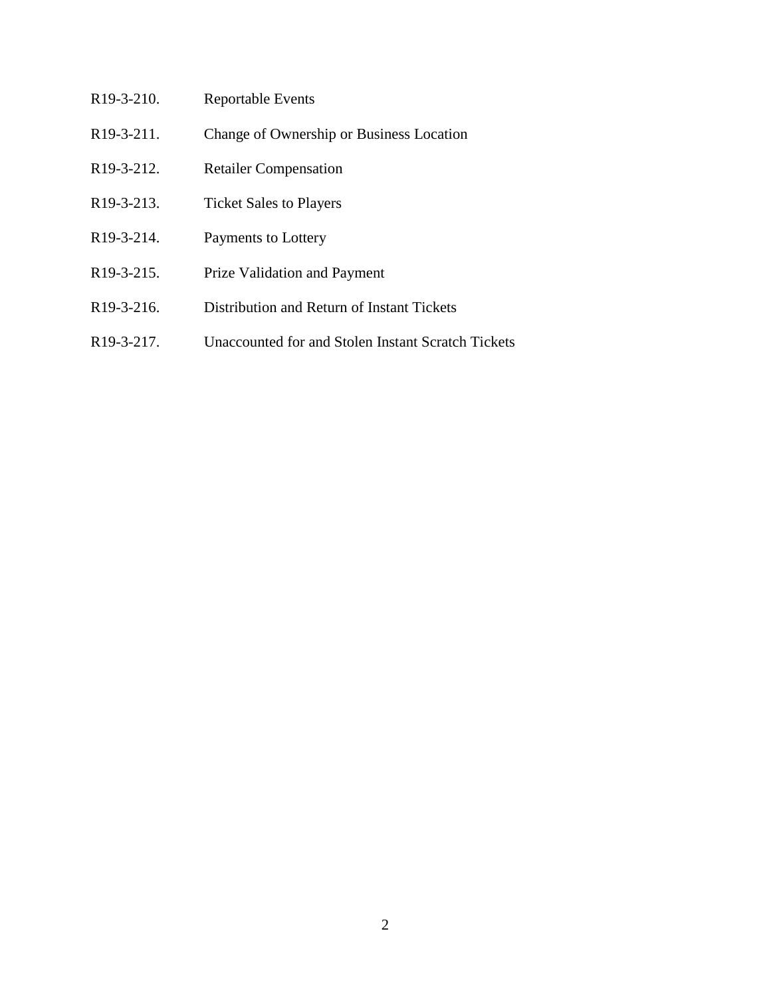| R <sub>19</sub> -3-2 <sub>10</sub> . | <b>Reportable Events</b>                   |
|--------------------------------------|--------------------------------------------|
| R <sub>19</sub> -3-211.              | Change of Ownership or Business Location   |
| R <sub>19</sub> -3-212.              | <b>Retailer Compensation</b>               |
| R <sub>19</sub> -3-213.              | <b>Ticket Sales to Players</b>             |
| R <sub>19</sub> -3-214.              | Payments to Lottery                        |
| R <sub>19</sub> -3-215.              | <b>Prize Validation and Payment</b>        |
| R <sub>19</sub> -3-216.              | Distribution and Return of Instant Tickets |
|                                      |                                            |

R19-3-217. Unaccounted for and Stolen Instant Scratch Tickets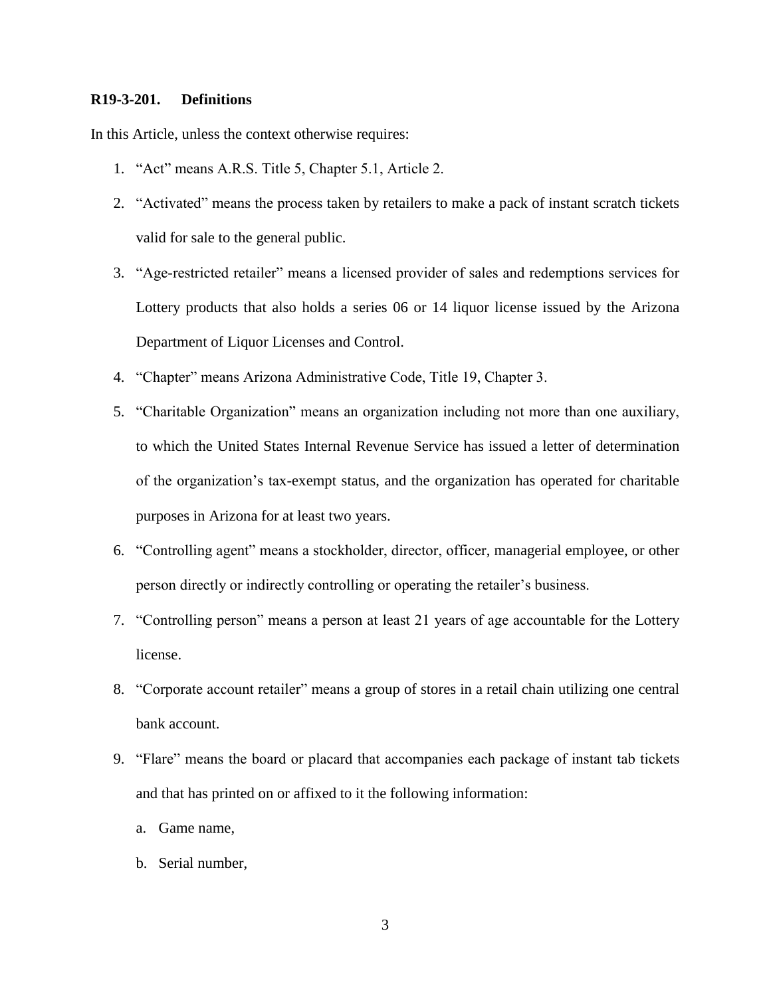## **R19-3-201. Definitions**

In this Article, unless the context otherwise requires:

- 1. "Act" means A.R.S. Title 5, Chapter 5.1, Article 2.
- 2. "Activated" means the process taken by retailers to make a pack of instant scratch tickets valid for sale to the general public.
- 3. "Age-restricted retailer" means a licensed provider of sales and redemptions services for Lottery products that also holds a series 06 or 14 liquor license issued by the Arizona Department of Liquor Licenses and Control.
- 4. "Chapter" means Arizona Administrative Code, Title 19, Chapter 3.
- 5. "Charitable Organization" means an organization including not more than one auxiliary, to which the United States Internal Revenue Service has issued a letter of determination of the organization's tax-exempt status, and the organization has operated for charitable purposes in Arizona for at least two years.
- 6. "Controlling agent" means a stockholder, director, officer, managerial employee, or other person directly or indirectly controlling or operating the retailer's business.
- 7. "Controlling person" means a person at least 21 years of age accountable for the Lottery license.
- 8. "Corporate account retailer" means a group of stores in a retail chain utilizing one central bank account.
- 9. "Flare" means the board or placard that accompanies each package of instant tab tickets and that has printed on or affixed to it the following information:
	- a. Game name,
	- b. Serial number,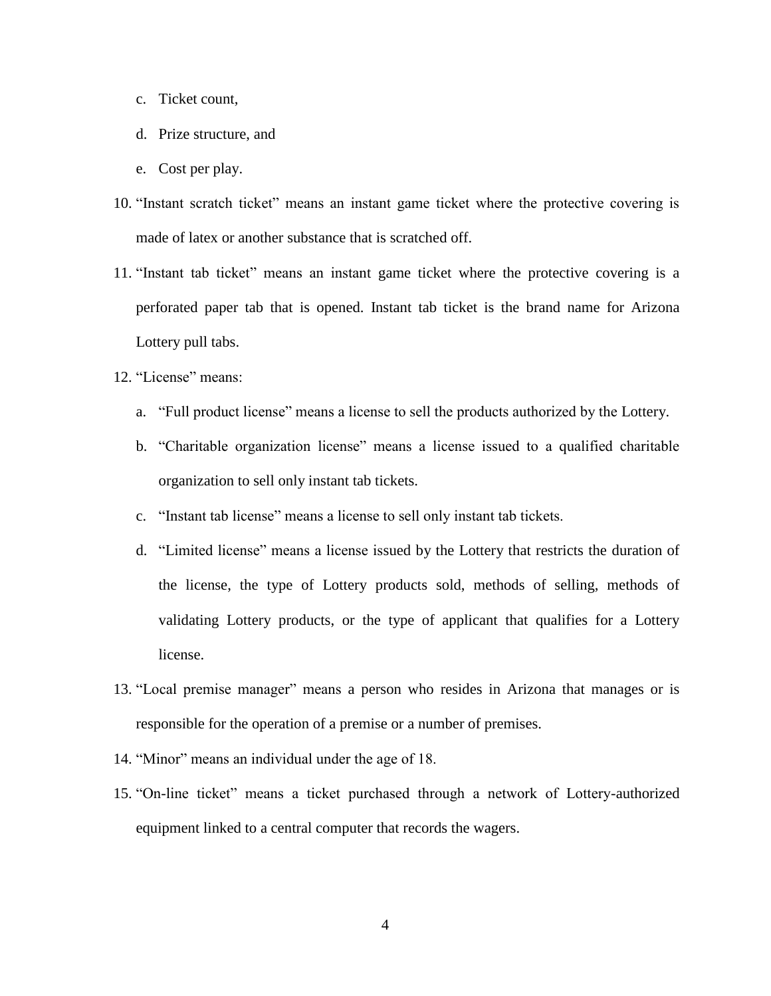- c. Ticket count,
- d. Prize structure, and
- e. Cost per play.
- 10. "Instant scratch ticket" means an instant game ticket where the protective covering is made of latex or another substance that is scratched off.
- 11. "Instant tab ticket" means an instant game ticket where the protective covering is a perforated paper tab that is opened. Instant tab ticket is the brand name for Arizona Lottery pull tabs.
- 12. "License" means:
	- a. "Full product license" means a license to sell the products authorized by the Lottery.
	- b. "Charitable organization license" means a license issued to a qualified charitable organization to sell only instant tab tickets.
	- c. "Instant tab license" means a license to sell only instant tab tickets.
	- d. "Limited license" means a license issued by the Lottery that restricts the duration of the license, the type of Lottery products sold, methods of selling, methods of validating Lottery products, or the type of applicant that qualifies for a Lottery license.
- 13. "Local premise manager" means a person who resides in Arizona that manages or is responsible for the operation of a premise or a number of premises.
- 14. "Minor" means an individual under the age of 18.
- 15. "On-line ticket" means a ticket purchased through a network of Lottery-authorized equipment linked to a central computer that records the wagers.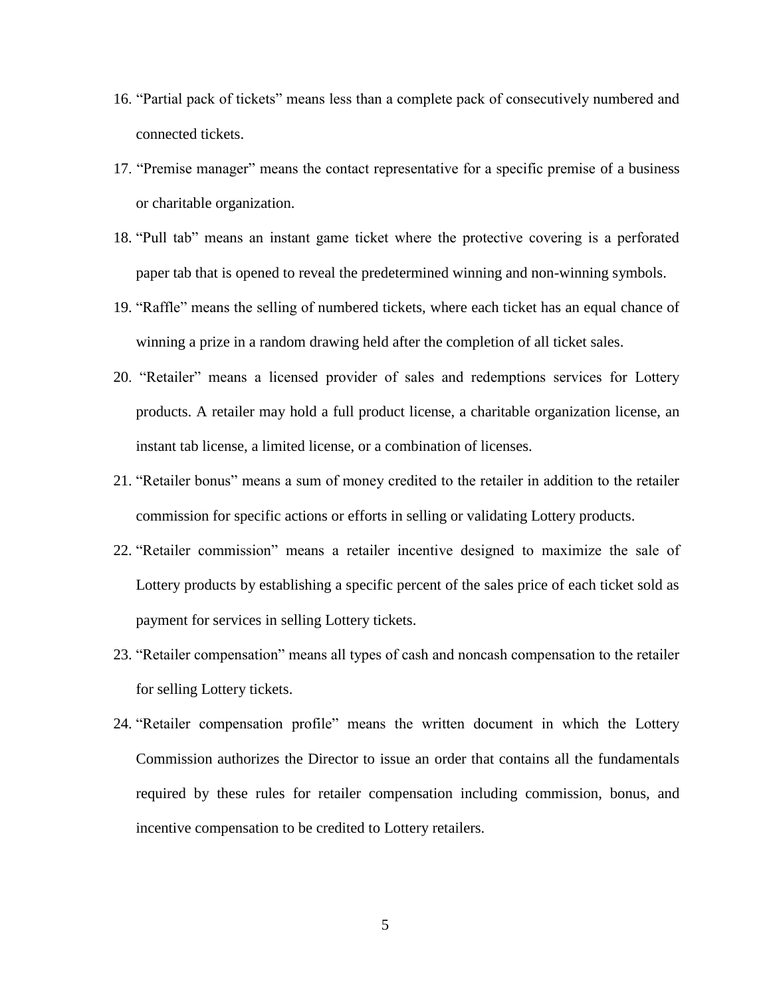- 16. "Partial pack of tickets" means less than a complete pack of consecutively numbered and connected tickets.
- 17. "Premise manager" means the contact representative for a specific premise of a business or charitable organization.
- 18. "Pull tab" means an instant game ticket where the protective covering is a perforated paper tab that is opened to reveal the predetermined winning and non-winning symbols.
- 19. "Raffle" means the selling of numbered tickets, where each ticket has an equal chance of winning a prize in a random drawing held after the completion of all ticket sales.
- 20. "Retailer" means a licensed provider of sales and redemptions services for Lottery products. A retailer may hold a full product license, a charitable organization license, an instant tab license, a limited license, or a combination of licenses.
- 21. "Retailer bonus" means a sum of money credited to the retailer in addition to the retailer commission for specific actions or efforts in selling or validating Lottery products.
- 22. "Retailer commission" means a retailer incentive designed to maximize the sale of Lottery products by establishing a specific percent of the sales price of each ticket sold as payment for services in selling Lottery tickets.
- 23. "Retailer compensation" means all types of cash and noncash compensation to the retailer for selling Lottery tickets.
- 24. "Retailer compensation profile" means the written document in which the Lottery Commission authorizes the Director to issue an order that contains all the fundamentals required by these rules for retailer compensation including commission, bonus, and incentive compensation to be credited to Lottery retailers.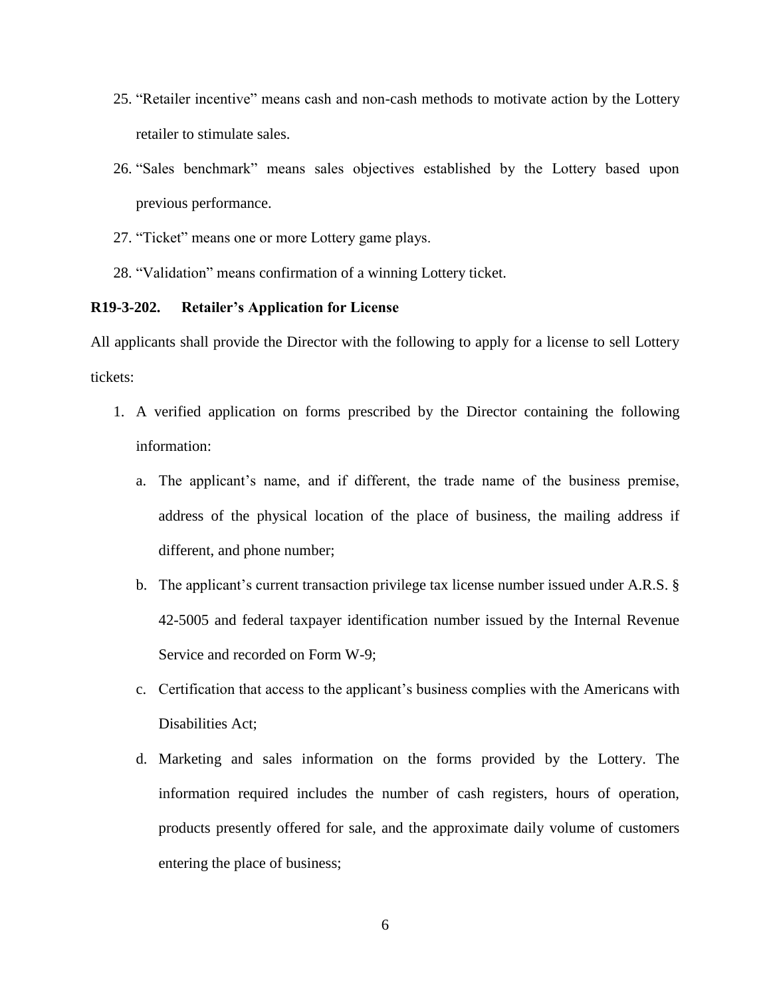- 25. "Retailer incentive" means cash and non-cash methods to motivate action by the Lottery retailer to stimulate sales.
- 26. "Sales benchmark" means sales objectives established by the Lottery based upon previous performance.
- 27. "Ticket" means one or more Lottery game plays.
- 28. "Validation" means confirmation of a winning Lottery ticket.

### **R19-3-202. Retailer's Application for License**

All applicants shall provide the Director with the following to apply for a license to sell Lottery tickets:

- 1. A verified application on forms prescribed by the Director containing the following information:
	- a. The applicant's name, and if different, the trade name of the business premise, address of the physical location of the place of business, the mailing address if different, and phone number;
	- b. The applicant's current transaction privilege tax license number issued under A.R.S. § 42-5005 and federal taxpayer identification number issued by the Internal Revenue Service and recorded on Form W-9;
	- c. Certification that access to the applicant's business complies with the Americans with Disabilities Act;
	- d. Marketing and sales information on the forms provided by the Lottery. The information required includes the number of cash registers, hours of operation, products presently offered for sale, and the approximate daily volume of customers entering the place of business;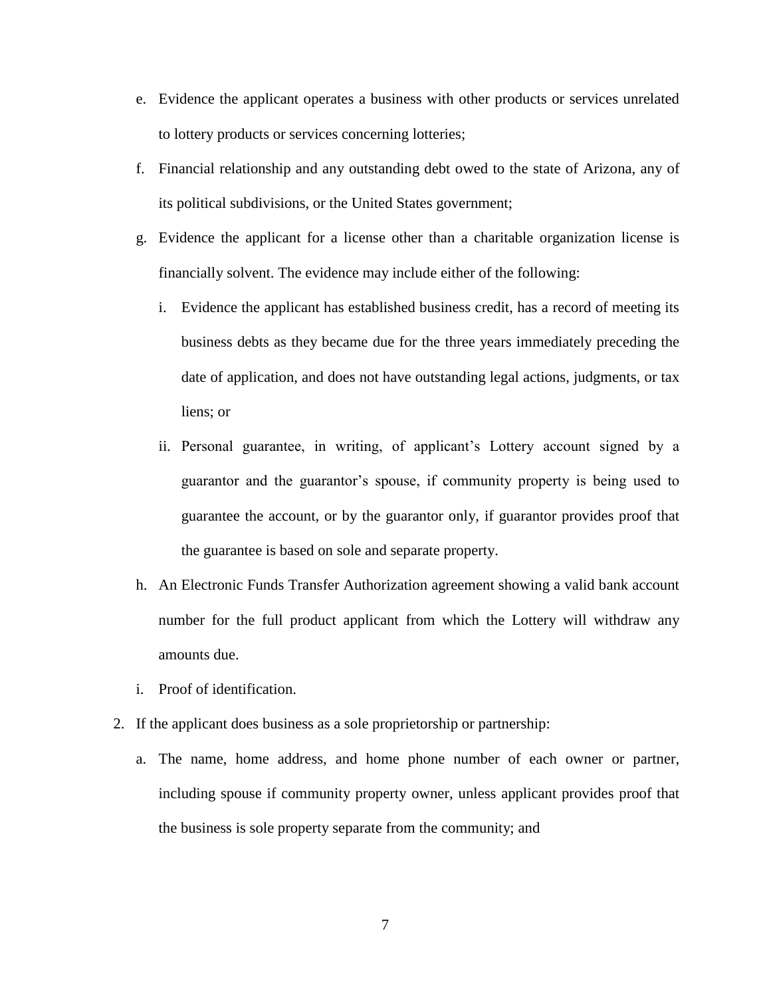- e. Evidence the applicant operates a business with other products or services unrelated to lottery products or services concerning lotteries;
- f. Financial relationship and any outstanding debt owed to the state of Arizona, any of its political subdivisions, or the United States government;
- g. Evidence the applicant for a license other than a charitable organization license is financially solvent. The evidence may include either of the following:
	- i. Evidence the applicant has established business credit, has a record of meeting its business debts as they became due for the three years immediately preceding the date of application, and does not have outstanding legal actions, judgments, or tax liens; or
	- ii. Personal guarantee, in writing, of applicant's Lottery account signed by a guarantor and the guarantor's spouse, if community property is being used to guarantee the account, or by the guarantor only, if guarantor provides proof that the guarantee is based on sole and separate property.
- h. An Electronic Funds Transfer Authorization agreement showing a valid bank account number for the full product applicant from which the Lottery will withdraw any amounts due.
- i. Proof of identification.
- 2. If the applicant does business as a sole proprietorship or partnership:
	- a. The name, home address, and home phone number of each owner or partner, including spouse if community property owner, unless applicant provides proof that the business is sole property separate from the community; and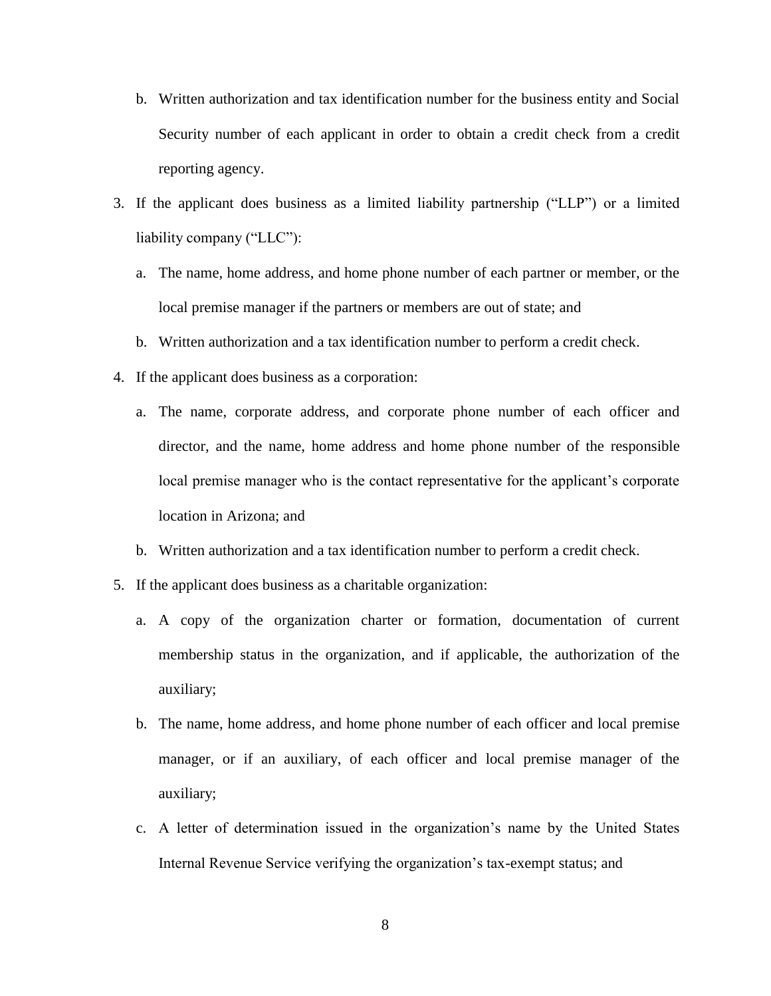- b. Written authorization and tax identification number for the business entity and Social Security number of each applicant in order to obtain a credit check from a credit reporting agency.
- 3. If the applicant does business as a limited liability partnership ("LLP") or a limited liability company ("LLC"):
	- a. The name, home address, and home phone number of each partner or member, or the local premise manager if the partners or members are out of state; and
	- b. Written authorization and a tax identification number to perform a credit check.
- 4. If the applicant does business as a corporation:
	- a. The name, corporate address, and corporate phone number of each officer and director, and the name, home address and home phone number of the responsible local premise manager who is the contact representative for the applicant's corporate location in Arizona; and
	- b. Written authorization and a tax identification number to perform a credit check.
- 5. If the applicant does business as a charitable organization:
	- a. A copy of the organization charter or formation, documentation of current membership status in the organization, and if applicable, the authorization of the auxiliary;
	- b. The name, home address, and home phone number of each officer and local premise manager, or if an auxiliary, of each officer and local premise manager of the auxiliary;
	- c. A letter of determination issued in the organization's name by the United States Internal Revenue Service verifying the organization's tax-exempt status; and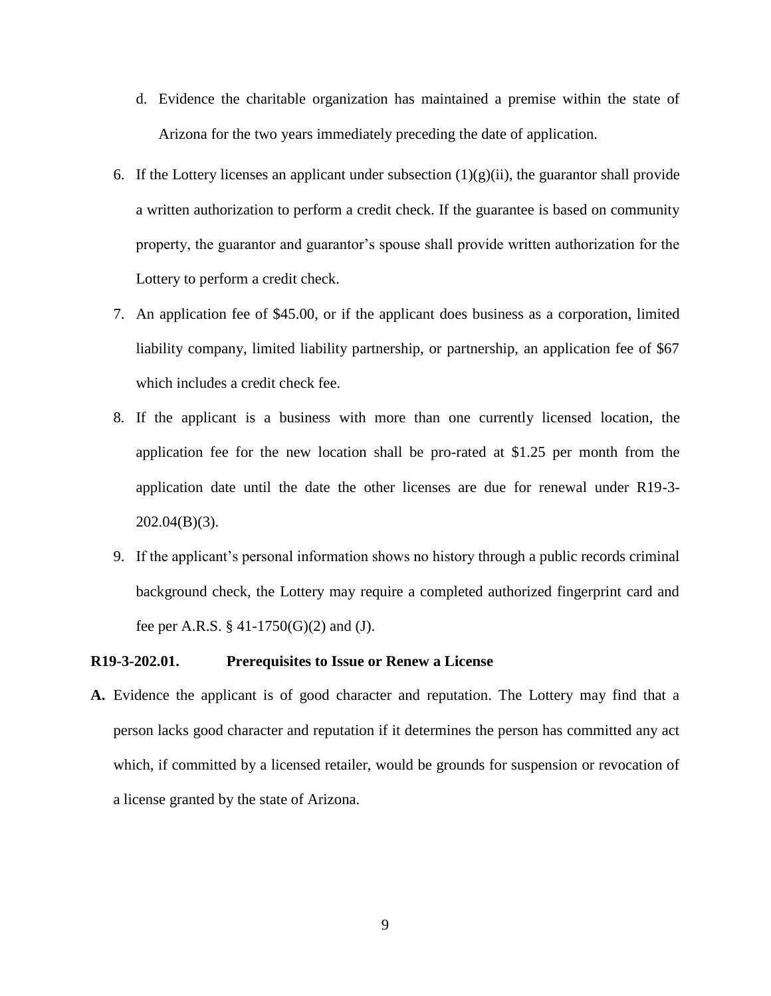- d. Evidence the charitable organization has maintained a premise within the state of Arizona for the two years immediately preceding the date of application.
- 6. If the Lottery licenses an applicant under subsection  $(1)(g)(ii)$ , the guarantor shall provide a written authorization to perform a credit check. If the guarantee is based on community property, the guarantor and guarantor's spouse shall provide written authorization for the Lottery to perform a credit check.
- 7. An application fee of \$45.00, or if the applicant does business as a corporation, limited liability company, limited liability partnership, or partnership, an application fee of \$67 which includes a credit check fee.
- 8. If the applicant is a business with more than one currently licensed location, the application fee for the new location shall be pro-rated at \$1.25 per month from the application date until the date the other licenses are due for renewal under R19-3-  $202.04(B)(3)$ .
- 9. If the applicant's personal information shows no history through a public records criminal background check, the Lottery may require a completed authorized fingerprint card and fee per A.R.S. § 41-1750(G)(2) and (J).

### **R19-3-202.01. Prerequisites to Issue or Renew a License**

**A.** Evidence the applicant is of good character and reputation. The Lottery may find that a person lacks good character and reputation if it determines the person has committed any act which, if committed by a licensed retailer, would be grounds for suspension or revocation of a license granted by the state of Arizona.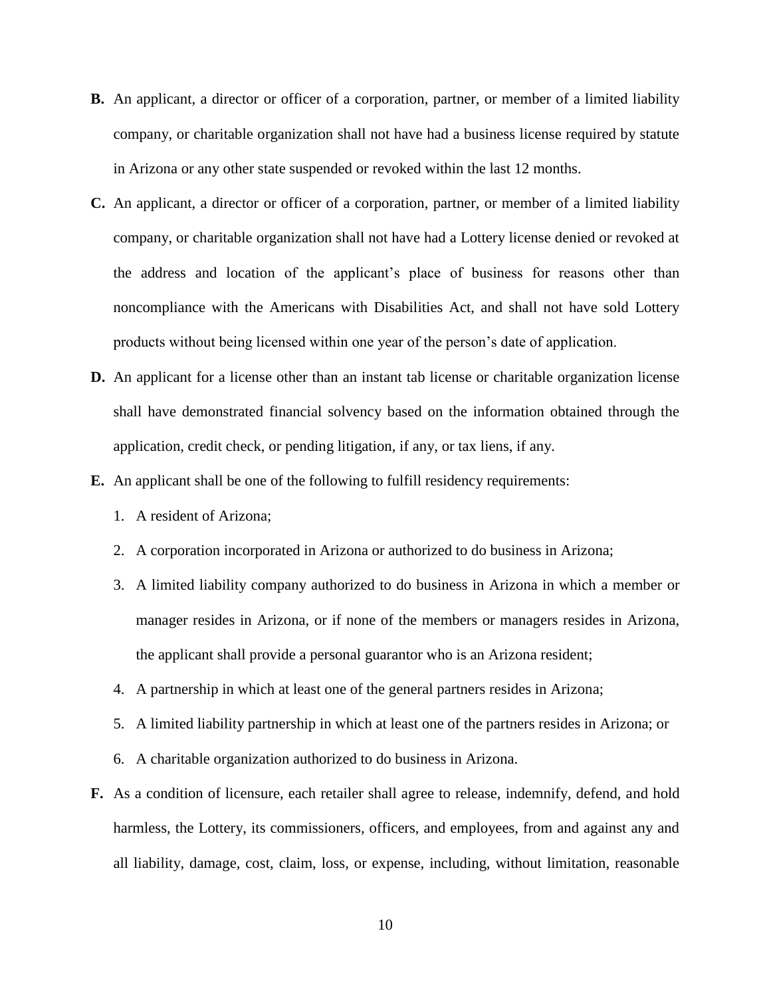- **B.** An applicant, a director or officer of a corporation, partner, or member of a limited liability company, or charitable organization shall not have had a business license required by statute in Arizona or any other state suspended or revoked within the last 12 months.
- **C.** An applicant, a director or officer of a corporation, partner, or member of a limited liability company, or charitable organization shall not have had a Lottery license denied or revoked at the address and location of the applicant's place of business for reasons other than noncompliance with the Americans with Disabilities Act, and shall not have sold Lottery products without being licensed within one year of the person's date of application.
- **D.** An applicant for a license other than an instant tab license or charitable organization license shall have demonstrated financial solvency based on the information obtained through the application, credit check, or pending litigation, if any, or tax liens, if any.
- **E.** An applicant shall be one of the following to fulfill residency requirements:
	- 1. A resident of Arizona;
	- 2. A corporation incorporated in Arizona or authorized to do business in Arizona;
	- 3. A limited liability company authorized to do business in Arizona in which a member or manager resides in Arizona, or if none of the members or managers resides in Arizona, the applicant shall provide a personal guarantor who is an Arizona resident;
	- 4. A partnership in which at least one of the general partners resides in Arizona;
	- 5. A limited liability partnership in which at least one of the partners resides in Arizona; or
	- 6. A charitable organization authorized to do business in Arizona.
- **F.** As a condition of licensure, each retailer shall agree to release, indemnify, defend, and hold harmless, the Lottery, its commissioners, officers, and employees, from and against any and all liability, damage, cost, claim, loss, or expense, including, without limitation, reasonable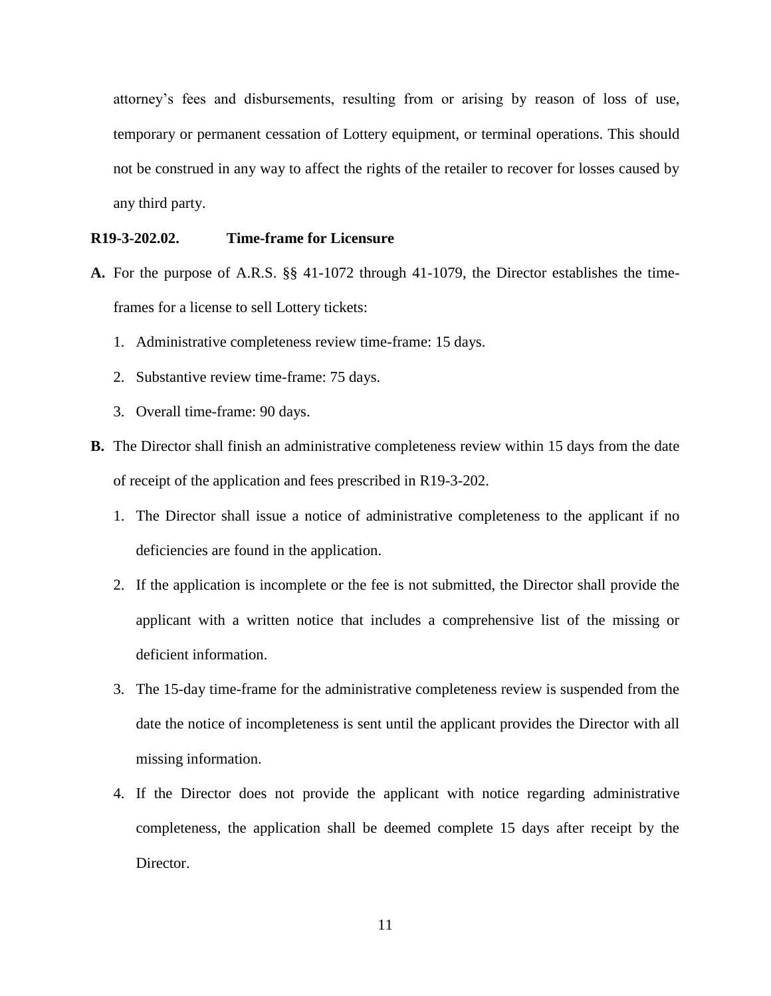attorney's fees and disbursements, resulting from or arising by reason of loss of use, temporary or permanent cessation of Lottery equipment, or terminal operations. This should not be construed in any way to affect the rights of the retailer to recover for losses caused by any third party.

## **R19-3-202.02. Time-frame for Licensure**

- **A.** For the purpose of A.R.S. §§ 41-1072 through 41-1079, the Director establishes the timeframes for a license to sell Lottery tickets:
	- 1. Administrative completeness review time-frame: 15 days.
	- 2. Substantive review time-frame: 75 days.
	- 3. Overall time-frame: 90 days.
- **B.** The Director shall finish an administrative completeness review within 15 days from the date of receipt of the application and fees prescribed in R19-3-202.
	- 1. The Director shall issue a notice of administrative completeness to the applicant if no deficiencies are found in the application.
	- 2. If the application is incomplete or the fee is not submitted, the Director shall provide the applicant with a written notice that includes a comprehensive list of the missing or deficient information.
	- 3. The 15-day time-frame for the administrative completeness review is suspended from the date the notice of incompleteness is sent until the applicant provides the Director with all missing information.
	- 4. If the Director does not provide the applicant with notice regarding administrative completeness, the application shall be deemed complete 15 days after receipt by the Director.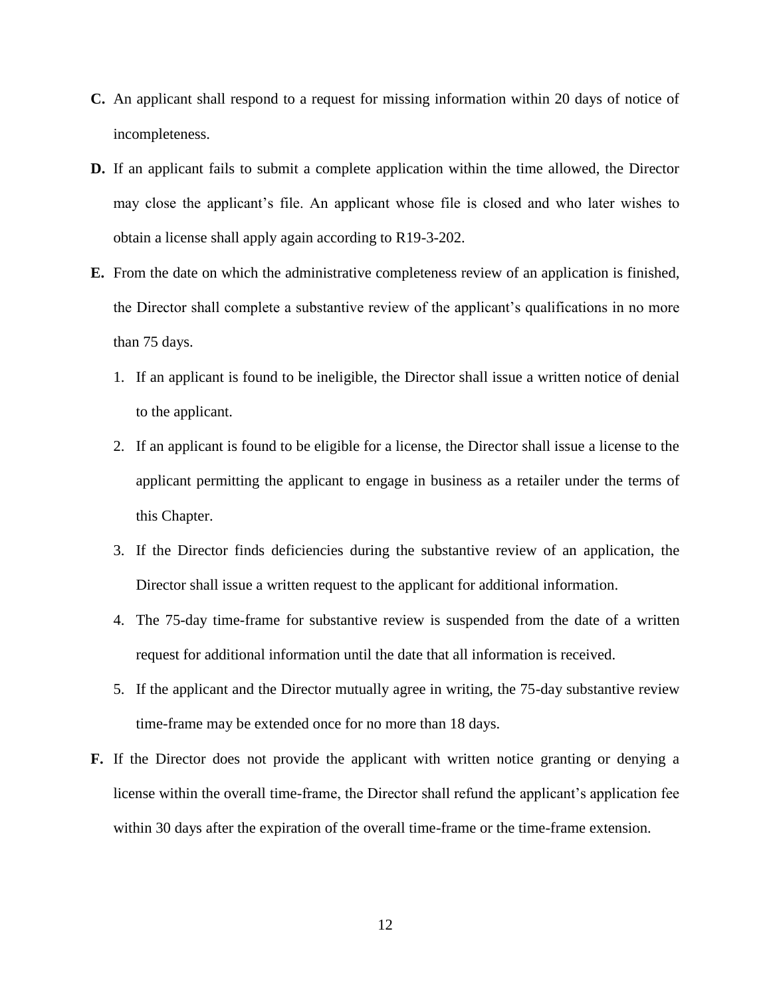- **C.** An applicant shall respond to a request for missing information within 20 days of notice of incompleteness.
- **D.** If an applicant fails to submit a complete application within the time allowed, the Director may close the applicant's file. An applicant whose file is closed and who later wishes to obtain a license shall apply again according to R19-3-202.
- **E.** From the date on which the administrative completeness review of an application is finished, the Director shall complete a substantive review of the applicant's qualifications in no more than 75 days.
	- 1. If an applicant is found to be ineligible, the Director shall issue a written notice of denial to the applicant.
	- 2. If an applicant is found to be eligible for a license, the Director shall issue a license to the applicant permitting the applicant to engage in business as a retailer under the terms of this Chapter.
	- 3. If the Director finds deficiencies during the substantive review of an application, the Director shall issue a written request to the applicant for additional information.
	- 4. The 75-day time-frame for substantive review is suspended from the date of a written request for additional information until the date that all information is received.
	- 5. If the applicant and the Director mutually agree in writing, the 75-day substantive review time-frame may be extended once for no more than 18 days.
- **F.** If the Director does not provide the applicant with written notice granting or denying a license within the overall time-frame, the Director shall refund the applicant's application fee within 30 days after the expiration of the overall time-frame or the time-frame extension.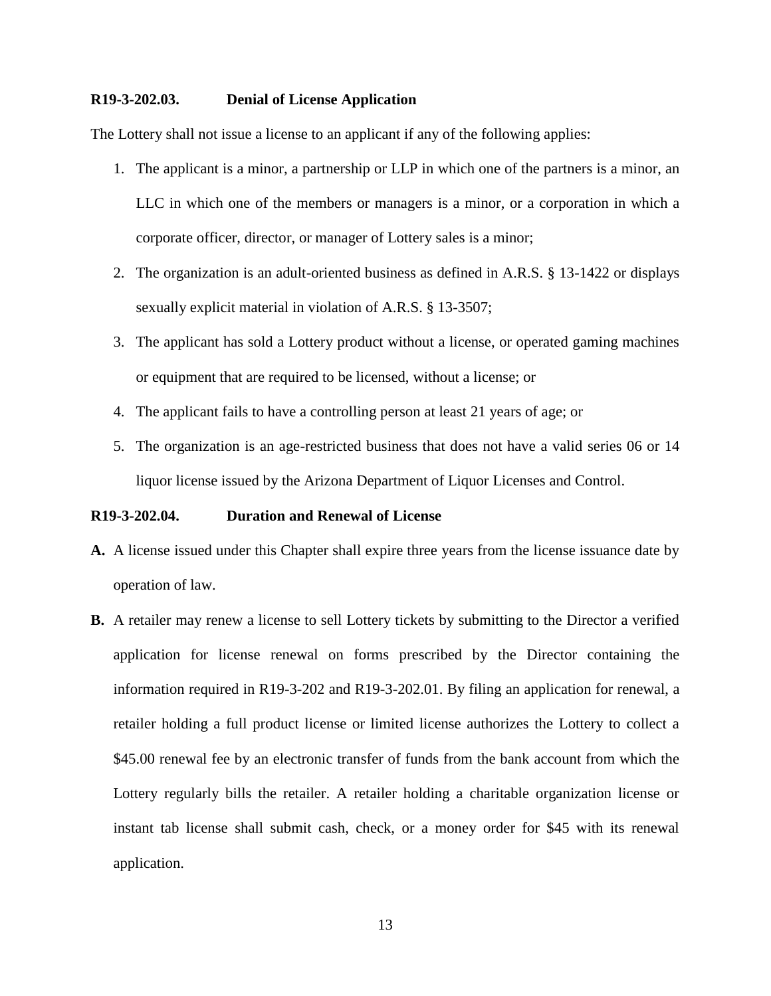### **R19-3-202.03. Denial of License Application**

The Lottery shall not issue a license to an applicant if any of the following applies:

- 1. The applicant is a minor, a partnership or LLP in which one of the partners is a minor, an LLC in which one of the members or managers is a minor, or a corporation in which a corporate officer, director, or manager of Lottery sales is a minor;
- 2. The organization is an adult-oriented business as defined in A.R.S. § 13-1422 or displays sexually explicit material in violation of A.R.S. § 13-3507;
- 3. The applicant has sold a Lottery product without a license, or operated gaming machines or equipment that are required to be licensed, without a license; or
- 4. The applicant fails to have a controlling person at least 21 years of age; or
- 5. The organization is an age-restricted business that does not have a valid series 06 or 14 liquor license issued by the Arizona Department of Liquor Licenses and Control.

#### **R19-3-202.04. Duration and Renewal of License**

- **A.** A license issued under this Chapter shall expire three years from the license issuance date by operation of law.
- **B.** A retailer may renew a license to sell Lottery tickets by submitting to the Director a verified application for license renewal on forms prescribed by the Director containing the information required in R19-3-202 and R19-3-202.01. By filing an application for renewal, a retailer holding a full product license or limited license authorizes the Lottery to collect a \$45.00 renewal fee by an electronic transfer of funds from the bank account from which the Lottery regularly bills the retailer. A retailer holding a charitable organization license or instant tab license shall submit cash, check, or a money order for \$45 with its renewal application.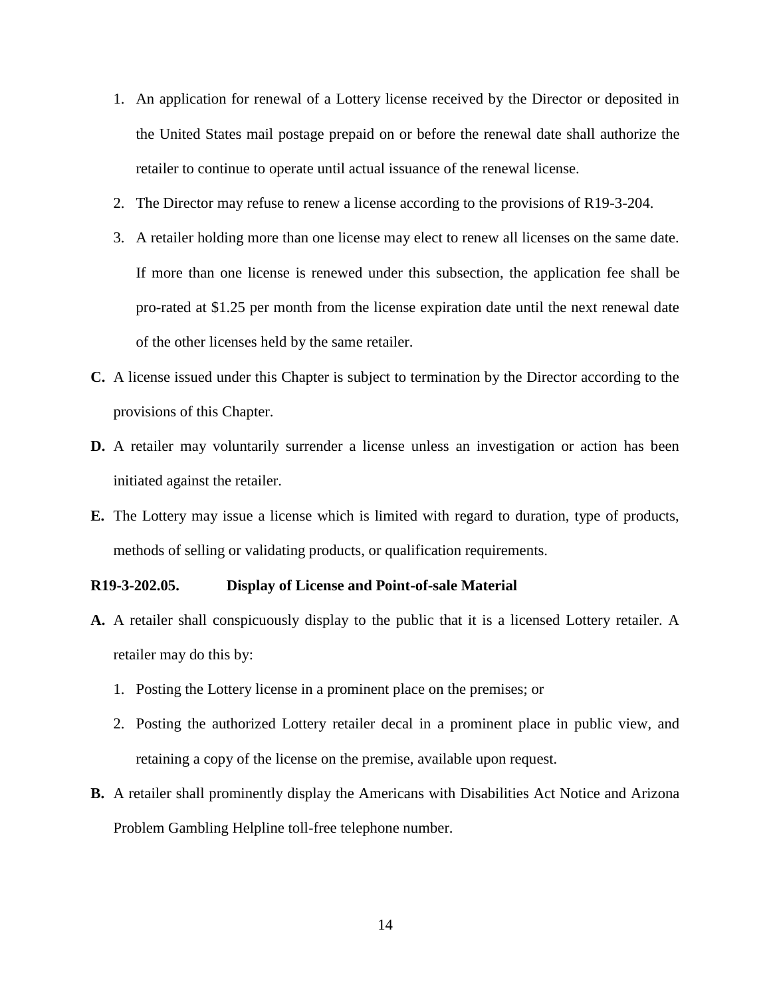- 1. An application for renewal of a Lottery license received by the Director or deposited in the United States mail postage prepaid on or before the renewal date shall authorize the retailer to continue to operate until actual issuance of the renewal license.
- 2. The Director may refuse to renew a license according to the provisions of R19-3-204.
- 3. A retailer holding more than one license may elect to renew all licenses on the same date. If more than one license is renewed under this subsection, the application fee shall be pro-rated at \$1.25 per month from the license expiration date until the next renewal date of the other licenses held by the same retailer.
- **C.** A license issued under this Chapter is subject to termination by the Director according to the provisions of this Chapter.
- **D.** A retailer may voluntarily surrender a license unless an investigation or action has been initiated against the retailer.
- **E.** The Lottery may issue a license which is limited with regard to duration, type of products, methods of selling or validating products, or qualification requirements.

#### **R19-3-202.05. Display of License and Point-of-sale Material**

- **A.** A retailer shall conspicuously display to the public that it is a licensed Lottery retailer. A retailer may do this by:
	- 1. Posting the Lottery license in a prominent place on the premises; or
	- 2. Posting the authorized Lottery retailer decal in a prominent place in public view, and retaining a copy of the license on the premise, available upon request.
- **B.** A retailer shall prominently display the Americans with Disabilities Act Notice and Arizona Problem Gambling Helpline toll-free telephone number.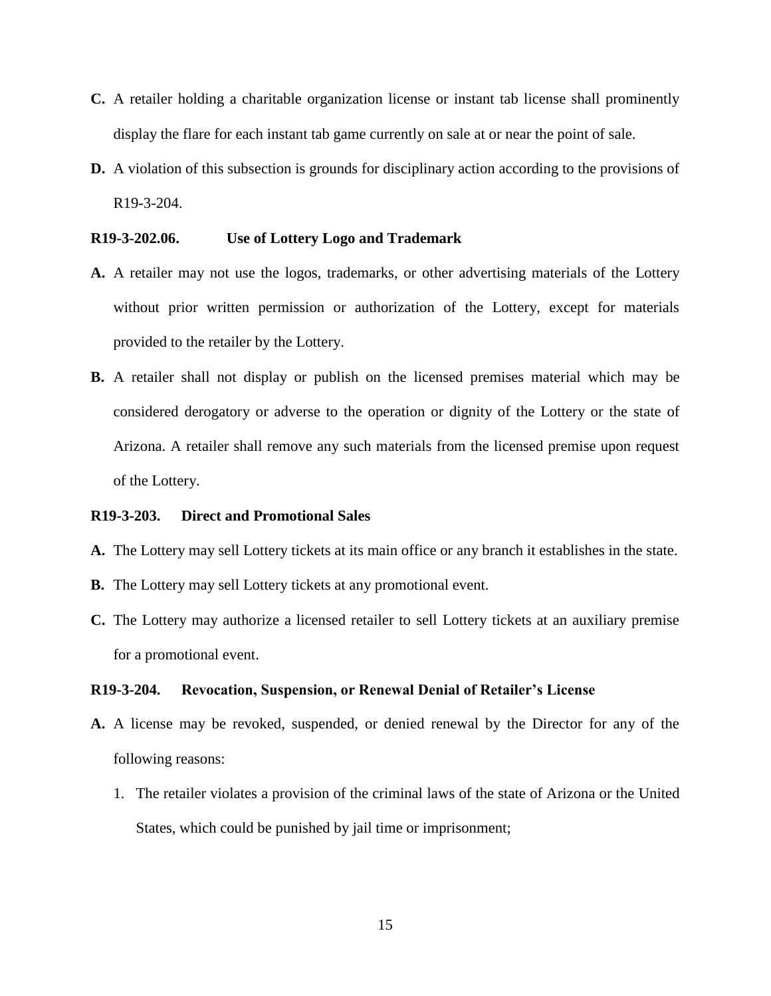- **C.** A retailer holding a charitable organization license or instant tab license shall prominently display the flare for each instant tab game currently on sale at or near the point of sale.
- **D.** A violation of this subsection is grounds for disciplinary action according to the provisions of R19-3-204.

### **R19-3-202.06. Use of Lottery Logo and Trademark**

- **A.** A retailer may not use the logos, trademarks, or other advertising materials of the Lottery without prior written permission or authorization of the Lottery, except for materials provided to the retailer by the Lottery.
- **B.** A retailer shall not display or publish on the licensed premises material which may be considered derogatory or adverse to the operation or dignity of the Lottery or the state of Arizona. A retailer shall remove any such materials from the licensed premise upon request of the Lottery.

#### **R19-3-203. Direct and Promotional Sales**

- **A.** The Lottery may sell Lottery tickets at its main office or any branch it establishes in the state.
- **B.** The Lottery may sell Lottery tickets at any promotional event.
- **C.** The Lottery may authorize a licensed retailer to sell Lottery tickets at an auxiliary premise for a promotional event.

#### **R19-3-204. Revocation, Suspension, or Renewal Denial of Retailer's License**

- **A.** A license may be revoked, suspended, or denied renewal by the Director for any of the following reasons:
	- 1. The retailer violates a provision of the criminal laws of the state of Arizona or the United States, which could be punished by jail time or imprisonment;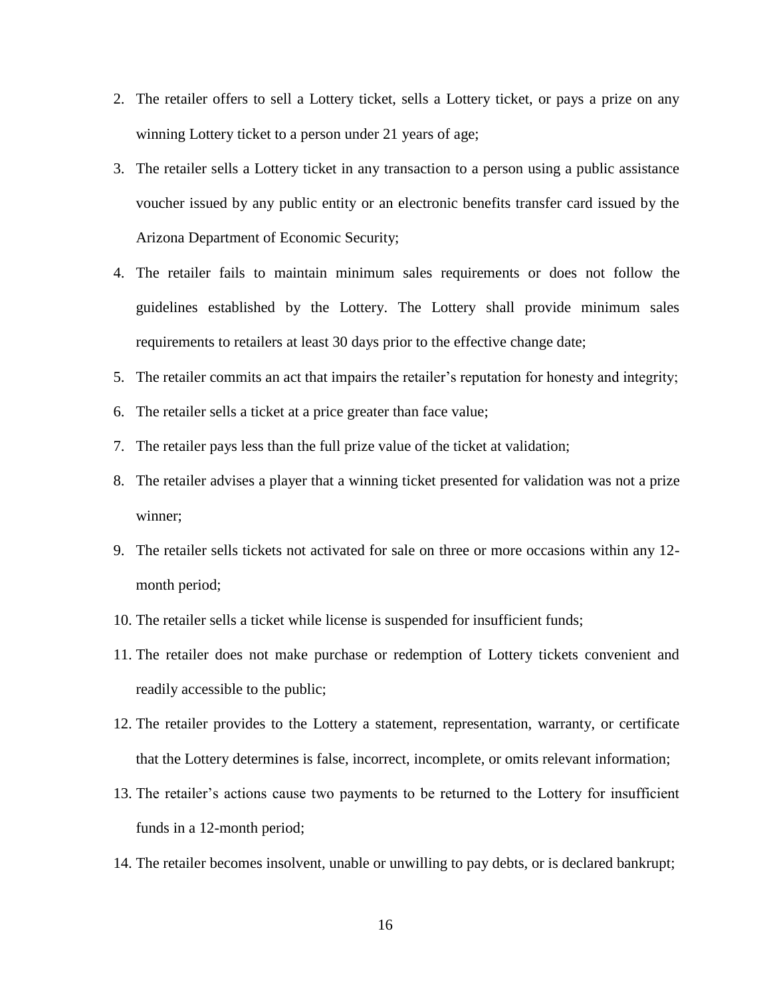- 2. The retailer offers to sell a Lottery ticket, sells a Lottery ticket, or pays a prize on any winning Lottery ticket to a person under 21 years of age;
- 3. The retailer sells a Lottery ticket in any transaction to a person using a public assistance voucher issued by any public entity or an electronic benefits transfer card issued by the Arizona Department of Economic Security;
- 4. The retailer fails to maintain minimum sales requirements or does not follow the guidelines established by the Lottery. The Lottery shall provide minimum sales requirements to retailers at least 30 days prior to the effective change date;
- 5. The retailer commits an act that impairs the retailer's reputation for honesty and integrity;
- 6. The retailer sells a ticket at a price greater than face value;
- 7. The retailer pays less than the full prize value of the ticket at validation;
- 8. The retailer advises a player that a winning ticket presented for validation was not a prize winner;
- 9. The retailer sells tickets not activated for sale on three or more occasions within any 12 month period;
- 10. The retailer sells a ticket while license is suspended for insufficient funds;
- 11. The retailer does not make purchase or redemption of Lottery tickets convenient and readily accessible to the public;
- 12. The retailer provides to the Lottery a statement, representation, warranty, or certificate that the Lottery determines is false, incorrect, incomplete, or omits relevant information;
- 13. The retailer's actions cause two payments to be returned to the Lottery for insufficient funds in a 12-month period;
- 14. The retailer becomes insolvent, unable or unwilling to pay debts, or is declared bankrupt;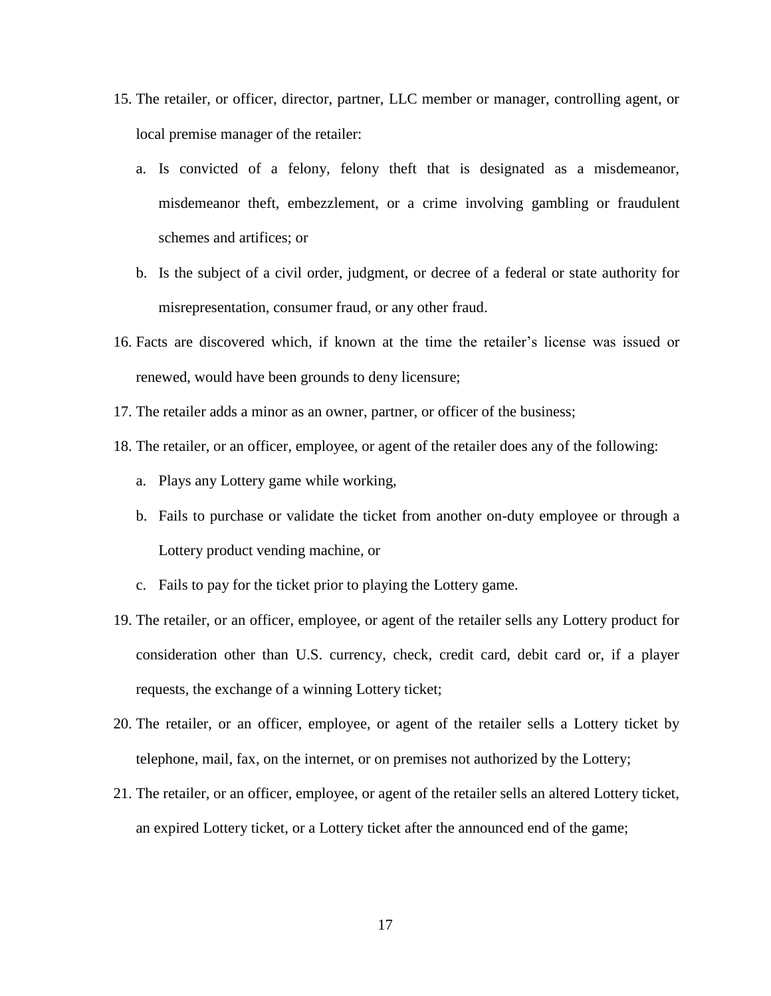- 15. The retailer, or officer, director, partner, LLC member or manager, controlling agent, or local premise manager of the retailer:
	- a. Is convicted of a felony, felony theft that is designated as a misdemeanor, misdemeanor theft, embezzlement, or a crime involving gambling or fraudulent schemes and artifices; or
	- b. Is the subject of a civil order, judgment, or decree of a federal or state authority for misrepresentation, consumer fraud, or any other fraud.
- 16. Facts are discovered which, if known at the time the retailer's license was issued or renewed, would have been grounds to deny licensure;
- 17. The retailer adds a minor as an owner, partner, or officer of the business;
- 18. The retailer, or an officer, employee, or agent of the retailer does any of the following:
	- a. Plays any Lottery game while working,
	- b. Fails to purchase or validate the ticket from another on-duty employee or through a Lottery product vending machine, or
	- c. Fails to pay for the ticket prior to playing the Lottery game.
- 19. The retailer, or an officer, employee, or agent of the retailer sells any Lottery product for consideration other than U.S. currency, check, credit card, debit card or, if a player requests, the exchange of a winning Lottery ticket;
- 20. The retailer, or an officer, employee, or agent of the retailer sells a Lottery ticket by telephone, mail, fax, on the internet, or on premises not authorized by the Lottery;
- 21. The retailer, or an officer, employee, or agent of the retailer sells an altered Lottery ticket, an expired Lottery ticket, or a Lottery ticket after the announced end of the game;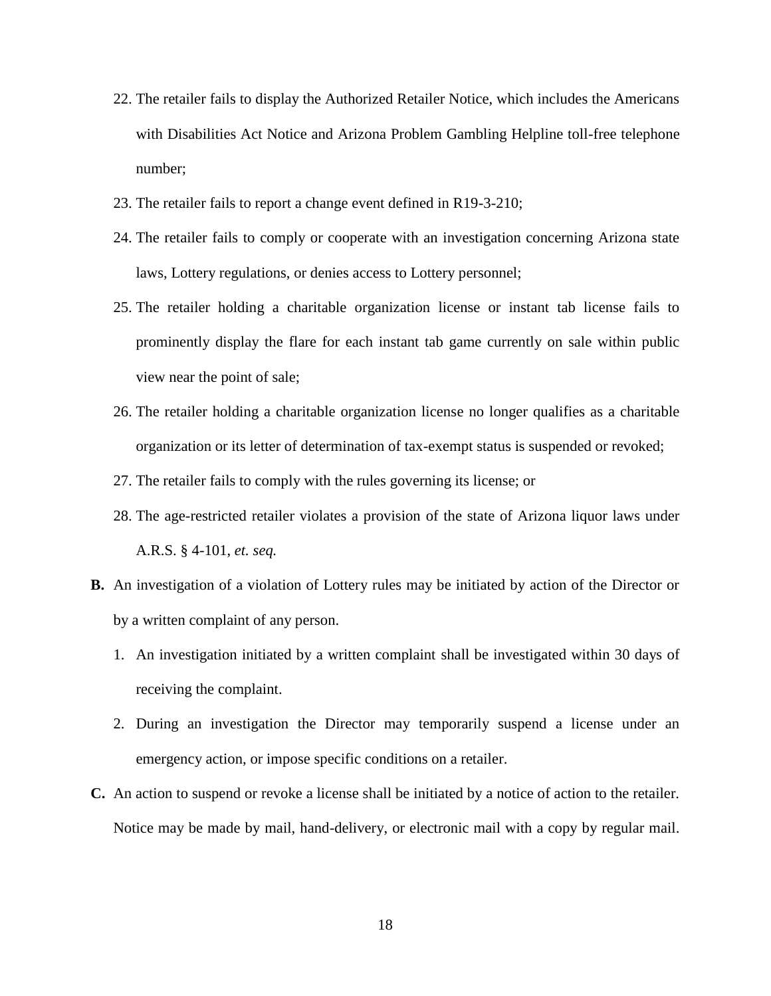- 22. The retailer fails to display the Authorized Retailer Notice, which includes the Americans with Disabilities Act Notice and Arizona Problem Gambling Helpline toll-free telephone number;
- 23. The retailer fails to report a change event defined in R19-3-210;
- 24. The retailer fails to comply or cooperate with an investigation concerning Arizona state laws, Lottery regulations, or denies access to Lottery personnel;
- 25. The retailer holding a charitable organization license or instant tab license fails to prominently display the flare for each instant tab game currently on sale within public view near the point of sale;
- 26. The retailer holding a charitable organization license no longer qualifies as a charitable organization or its letter of determination of tax-exempt status is suspended or revoked;
- 27. The retailer fails to comply with the rules governing its license; or
- 28. The age-restricted retailer violates a provision of the state of Arizona liquor laws under A.R.S. § 4-101, *et. seq.*
- **B.** An investigation of a violation of Lottery rules may be initiated by action of the Director or by a written complaint of any person.
	- 1. An investigation initiated by a written complaint shall be investigated within 30 days of receiving the complaint.
	- 2. During an investigation the Director may temporarily suspend a license under an emergency action, or impose specific conditions on a retailer.
- **C.** An action to suspend or revoke a license shall be initiated by a notice of action to the retailer. Notice may be made by mail, hand-delivery, or electronic mail with a copy by regular mail.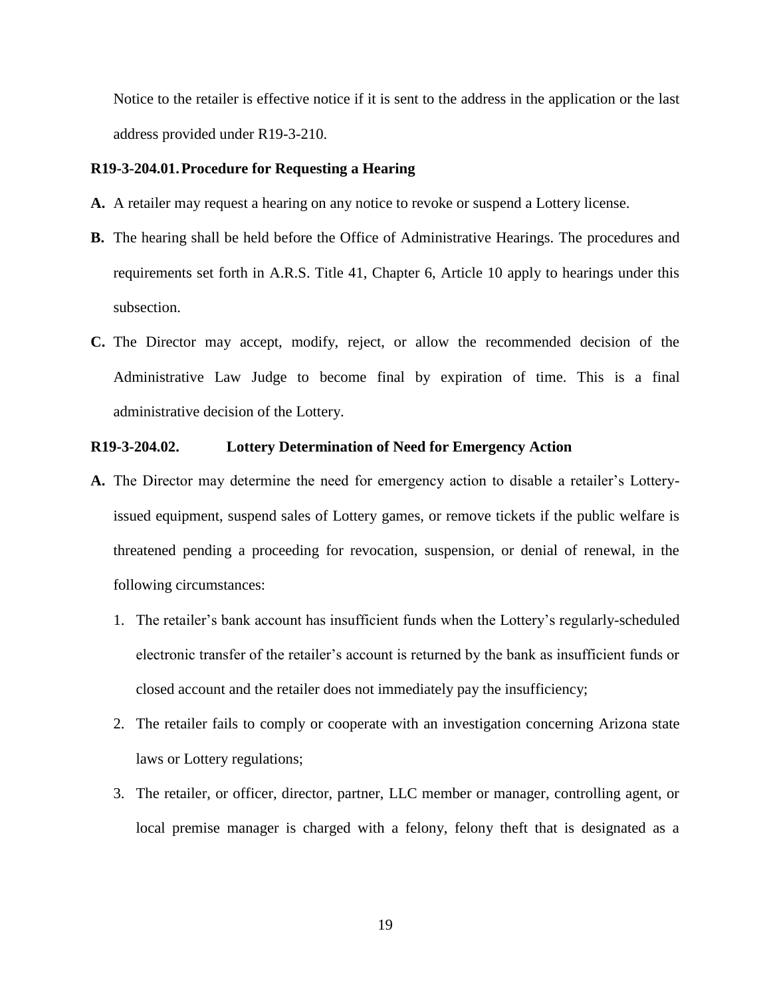Notice to the retailer is effective notice if it is sent to the address in the application or the last address provided under R19-3-210.

### **R19-3-204.01.Procedure for Requesting a Hearing**

- **A.** A retailer may request a hearing on any notice to revoke or suspend a Lottery license.
- **B.** The hearing shall be held before the Office of Administrative Hearings. The procedures and requirements set forth in A.R.S. Title 41, Chapter 6, Article 10 apply to hearings under this subsection.
- **C.** The Director may accept, modify, reject, or allow the recommended decision of the Administrative Law Judge to become final by expiration of time. This is a final administrative decision of the Lottery.

#### **R19-3-204.02. Lottery Determination of Need for Emergency Action**

- **A.** The Director may determine the need for emergency action to disable a retailer's Lotteryissued equipment, suspend sales of Lottery games, or remove tickets if the public welfare is threatened pending a proceeding for revocation, suspension, or denial of renewal, in the following circumstances:
	- 1. The retailer's bank account has insufficient funds when the Lottery's regularly-scheduled electronic transfer of the retailer's account is returned by the bank as insufficient funds or closed account and the retailer does not immediately pay the insufficiency;
	- 2. The retailer fails to comply or cooperate with an investigation concerning Arizona state laws or Lottery regulations;
	- 3. The retailer, or officer, director, partner, LLC member or manager, controlling agent, or local premise manager is charged with a felony, felony theft that is designated as a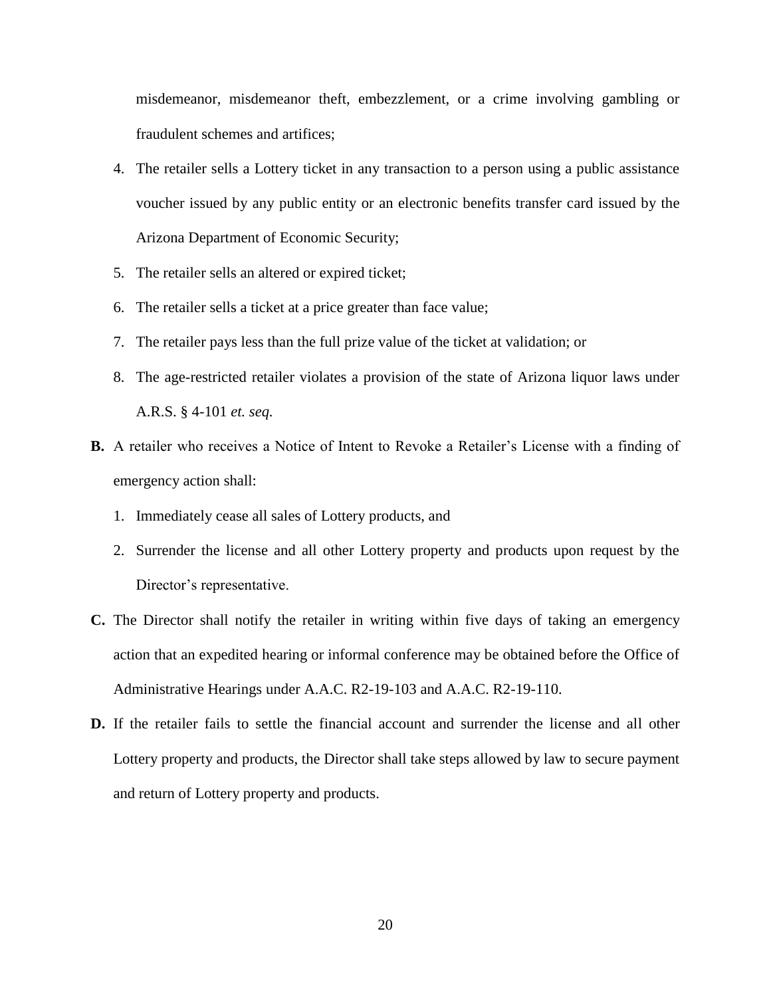misdemeanor, misdemeanor theft, embezzlement, or a crime involving gambling or fraudulent schemes and artifices;

- 4. The retailer sells a Lottery ticket in any transaction to a person using a public assistance voucher issued by any public entity or an electronic benefits transfer card issued by the Arizona Department of Economic Security;
- 5. The retailer sells an altered or expired ticket;
- 6. The retailer sells a ticket at a price greater than face value;
- 7. The retailer pays less than the full prize value of the ticket at validation; or
- 8. The age-restricted retailer violates a provision of the state of Arizona liquor laws under A.R.S. § 4-101 *et. seq.*
- **B.** A retailer who receives a Notice of Intent to Revoke a Retailer's License with a finding of emergency action shall:
	- 1. Immediately cease all sales of Lottery products, and
	- 2. Surrender the license and all other Lottery property and products upon request by the Director's representative.
- **C.** The Director shall notify the retailer in writing within five days of taking an emergency action that an expedited hearing or informal conference may be obtained before the Office of Administrative Hearings under A.A.C. R2-19-103 and A.A.C. R2-19-110.
- **D.** If the retailer fails to settle the financial account and surrender the license and all other Lottery property and products, the Director shall take steps allowed by law to secure payment and return of Lottery property and products.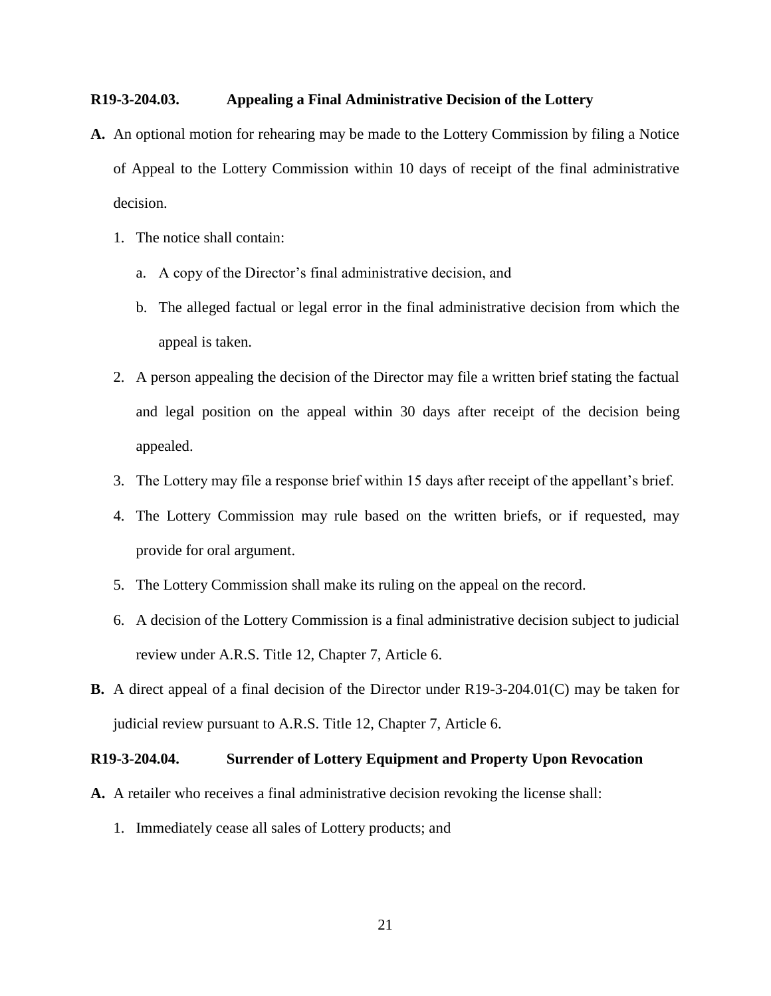## **R19-3-204.03. Appealing a Final Administrative Decision of the Lottery**

- **A.** An optional motion for rehearing may be made to the Lottery Commission by filing a Notice of Appeal to the Lottery Commission within 10 days of receipt of the final administrative decision.
	- 1. The notice shall contain:
		- a. A copy of the Director's final administrative decision, and
		- b. The alleged factual or legal error in the final administrative decision from which the appeal is taken.
	- 2. A person appealing the decision of the Director may file a written brief stating the factual and legal position on the appeal within 30 days after receipt of the decision being appealed.
	- 3. The Lottery may file a response brief within 15 days after receipt of the appellant's brief.
	- 4. The Lottery Commission may rule based on the written briefs, or if requested, may provide for oral argument.
	- 5. The Lottery Commission shall make its ruling on the appeal on the record.
	- 6. A decision of the Lottery Commission is a final administrative decision subject to judicial review under A.R.S. Title 12, Chapter 7, Article 6.
- **B.** A direct appeal of a final decision of the Director under R19-3-204.01(C) may be taken for judicial review pursuant to A.R.S. Title 12, Chapter 7, Article 6.

#### **R19-3-204.04. Surrender of Lottery Equipment and Property Upon Revocation**

- **A.** A retailer who receives a final administrative decision revoking the license shall:
	- 1. Immediately cease all sales of Lottery products; and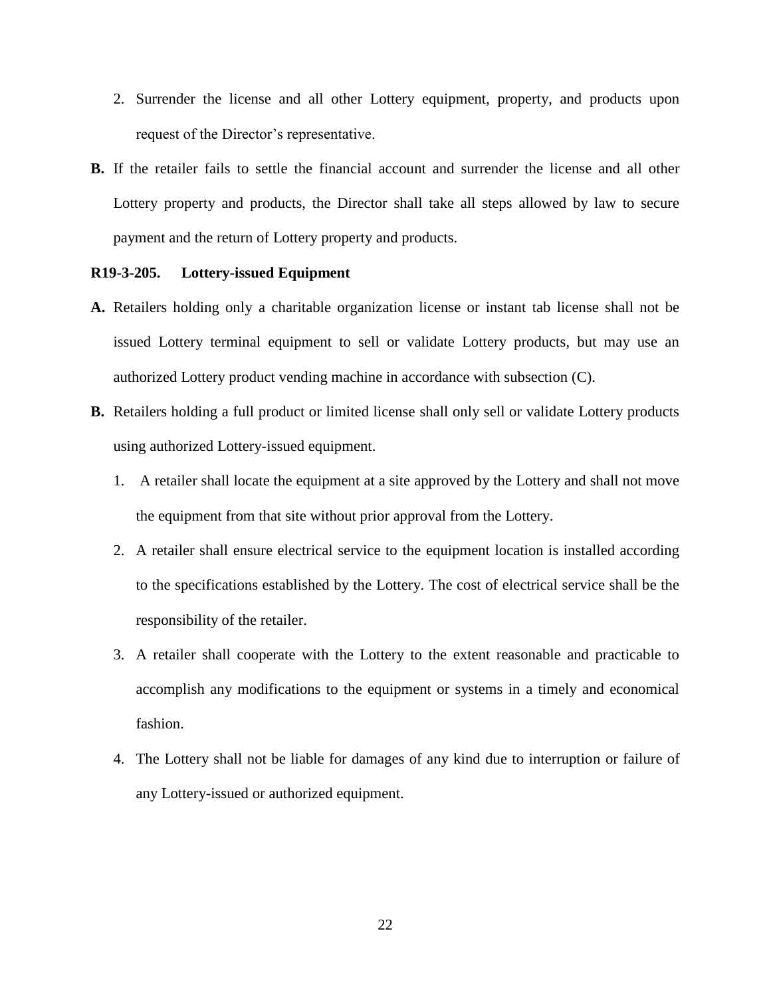- 2. Surrender the license and all other Lottery equipment, property, and products upon request of the Director's representative.
- **B.** If the retailer fails to settle the financial account and surrender the license and all other Lottery property and products, the Director shall take all steps allowed by law to secure payment and the return of Lottery property and products.

#### **R19-3-205. Lottery-issued Equipment**

- **A.** Retailers holding only a charitable organization license or instant tab license shall not be issued Lottery terminal equipment to sell or validate Lottery products, but may use an authorized Lottery product vending machine in accordance with subsection (C).
- **B.** Retailers holding a full product or limited license shall only sell or validate Lottery products using authorized Lottery-issued equipment.
	- 1. A retailer shall locate the equipment at a site approved by the Lottery and shall not move the equipment from that site without prior approval from the Lottery.
	- 2. A retailer shall ensure electrical service to the equipment location is installed according to the specifications established by the Lottery. The cost of electrical service shall be the responsibility of the retailer.
	- 3. A retailer shall cooperate with the Lottery to the extent reasonable and practicable to accomplish any modifications to the equipment or systems in a timely and economical fashion.
	- 4. The Lottery shall not be liable for damages of any kind due to interruption or failure of any Lottery-issued or authorized equipment.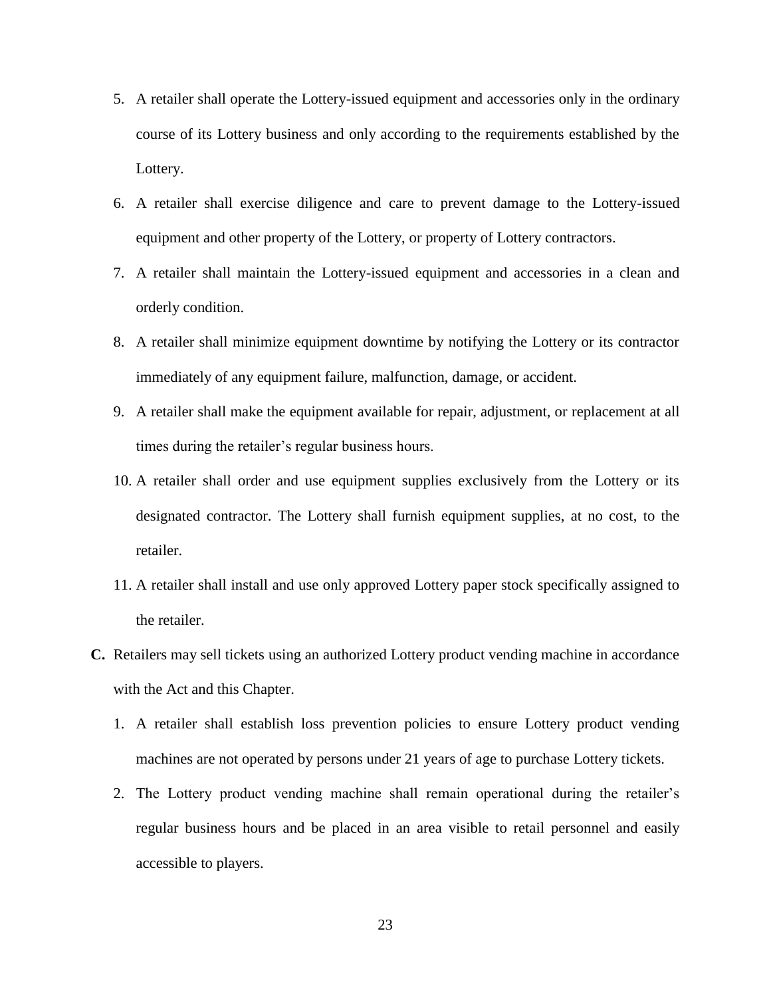- 5. A retailer shall operate the Lottery-issued equipment and accessories only in the ordinary course of its Lottery business and only according to the requirements established by the Lottery.
- 6. A retailer shall exercise diligence and care to prevent damage to the Lottery-issued equipment and other property of the Lottery, or property of Lottery contractors.
- 7. A retailer shall maintain the Lottery-issued equipment and accessories in a clean and orderly condition.
- 8. A retailer shall minimize equipment downtime by notifying the Lottery or its contractor immediately of any equipment failure, malfunction, damage, or accident.
- 9. A retailer shall make the equipment available for repair, adjustment, or replacement at all times during the retailer's regular business hours.
- 10. A retailer shall order and use equipment supplies exclusively from the Lottery or its designated contractor. The Lottery shall furnish equipment supplies, at no cost, to the retailer.
- 11. A retailer shall install and use only approved Lottery paper stock specifically assigned to the retailer.
- **C.** Retailers may sell tickets using an authorized Lottery product vending machine in accordance with the Act and this Chapter.
	- 1. A retailer shall establish loss prevention policies to ensure Lottery product vending machines are not operated by persons under 21 years of age to purchase Lottery tickets.
	- 2. The Lottery product vending machine shall remain operational during the retailer's regular business hours and be placed in an area visible to retail personnel and easily accessible to players.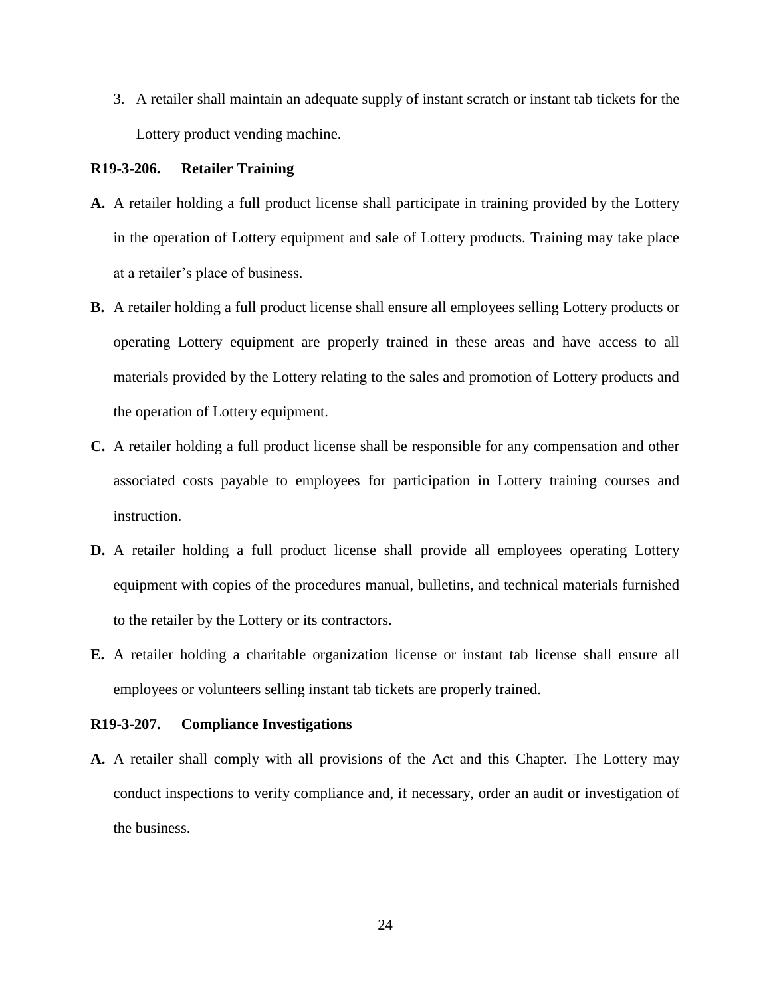3. A retailer shall maintain an adequate supply of instant scratch or instant tab tickets for the Lottery product vending machine.

#### **R19-3-206. Retailer Training**

- **A.** A retailer holding a full product license shall participate in training provided by the Lottery in the operation of Lottery equipment and sale of Lottery products. Training may take place at a retailer's place of business.
- **B.** A retailer holding a full product license shall ensure all employees selling Lottery products or operating Lottery equipment are properly trained in these areas and have access to all materials provided by the Lottery relating to the sales and promotion of Lottery products and the operation of Lottery equipment.
- **C.** A retailer holding a full product license shall be responsible for any compensation and other associated costs payable to employees for participation in Lottery training courses and instruction.
- **D.** A retailer holding a full product license shall provide all employees operating Lottery equipment with copies of the procedures manual, bulletins, and technical materials furnished to the retailer by the Lottery or its contractors.
- **E.** A retailer holding a charitable organization license or instant tab license shall ensure all employees or volunteers selling instant tab tickets are properly trained.

#### **R19-3-207. Compliance Investigations**

**A.** A retailer shall comply with all provisions of the Act and this Chapter. The Lottery may conduct inspections to verify compliance and, if necessary, order an audit or investigation of the business.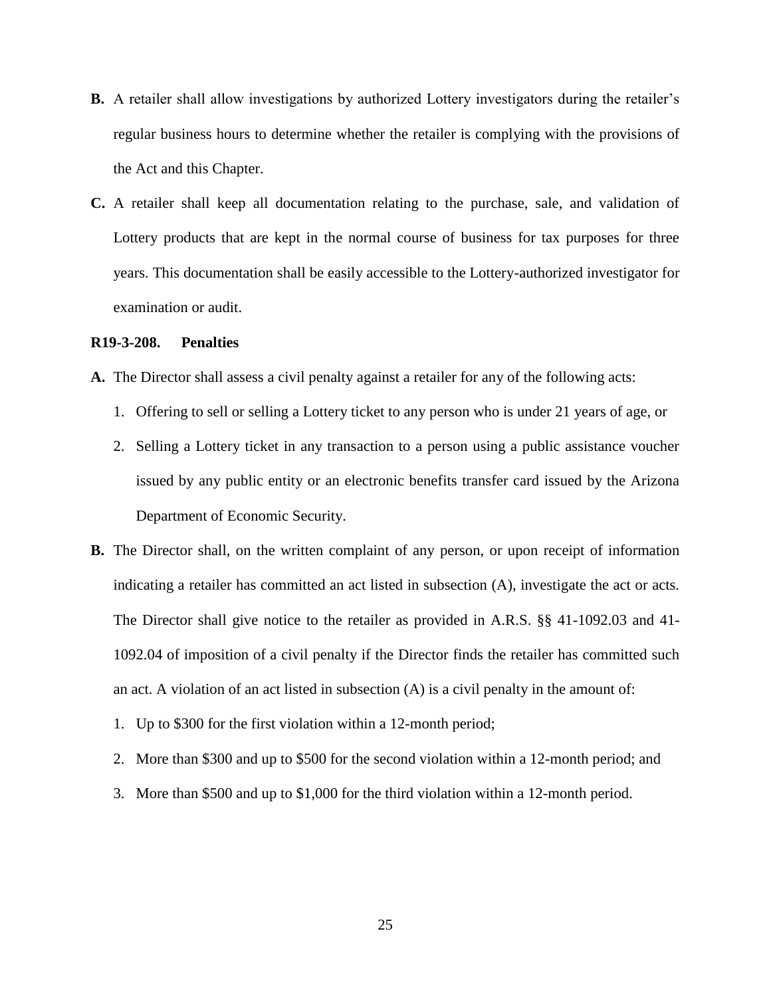- **B.** A retailer shall allow investigations by authorized Lottery investigators during the retailer's regular business hours to determine whether the retailer is complying with the provisions of the Act and this Chapter.
- **C.** A retailer shall keep all documentation relating to the purchase, sale, and validation of Lottery products that are kept in the normal course of business for tax purposes for three years. This documentation shall be easily accessible to the Lottery-authorized investigator for examination or audit.

#### **R19-3-208. Penalties**

- **A.** The Director shall assess a civil penalty against a retailer for any of the following acts:
	- 1. Offering to sell or selling a Lottery ticket to any person who is under 21 years of age, or
	- 2. Selling a Lottery ticket in any transaction to a person using a public assistance voucher issued by any public entity or an electronic benefits transfer card issued by the Arizona Department of Economic Security.
- **B.** The Director shall, on the written complaint of any person, or upon receipt of information indicating a retailer has committed an act listed in subsection (A), investigate the act or acts. The Director shall give notice to the retailer as provided in A.R.S. §§ 41-1092.03 and 41- 1092.04 of imposition of a civil penalty if the Director finds the retailer has committed such an act. A violation of an act listed in subsection (A) is a civil penalty in the amount of:
	- 1. Up to \$300 for the first violation within a 12-month period;
	- 2. More than \$300 and up to \$500 for the second violation within a 12-month period; and
	- 3. More than \$500 and up to \$1,000 for the third violation within a 12-month period.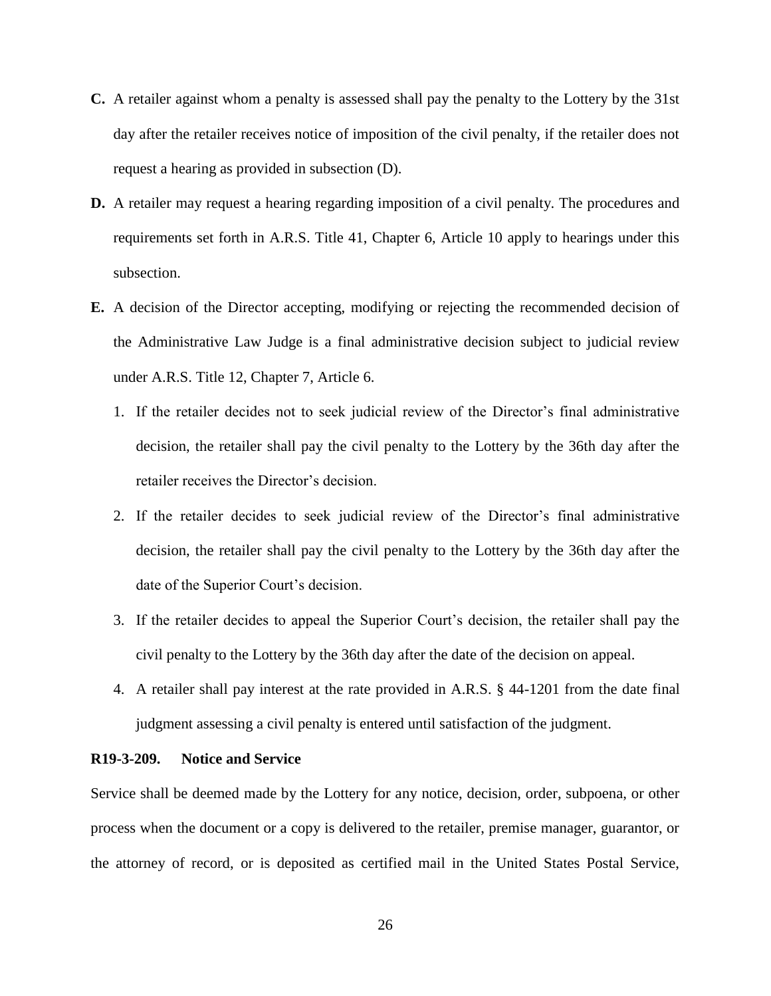- **C.** A retailer against whom a penalty is assessed shall pay the penalty to the Lottery by the 31st day after the retailer receives notice of imposition of the civil penalty, if the retailer does not request a hearing as provided in subsection (D).
- **D.** A retailer may request a hearing regarding imposition of a civil penalty. The procedures and requirements set forth in A.R.S. Title 41, Chapter 6, Article 10 apply to hearings under this subsection.
- **E.** A decision of the Director accepting, modifying or rejecting the recommended decision of the Administrative Law Judge is a final administrative decision subject to judicial review under A.R.S. Title 12, Chapter 7, Article 6.
	- 1. If the retailer decides not to seek judicial review of the Director's final administrative decision, the retailer shall pay the civil penalty to the Lottery by the 36th day after the retailer receives the Director's decision.
	- 2. If the retailer decides to seek judicial review of the Director's final administrative decision, the retailer shall pay the civil penalty to the Lottery by the 36th day after the date of the Superior Court's decision.
	- 3. If the retailer decides to appeal the Superior Court's decision, the retailer shall pay the civil penalty to the Lottery by the 36th day after the date of the decision on appeal.
	- 4. A retailer shall pay interest at the rate provided in A.R.S. § 44-1201 from the date final judgment assessing a civil penalty is entered until satisfaction of the judgment.

#### **R19-3-209. Notice and Service**

Service shall be deemed made by the Lottery for any notice, decision, order, subpoena, or other process when the document or a copy is delivered to the retailer, premise manager, guarantor, or the attorney of record, or is deposited as certified mail in the United States Postal Service,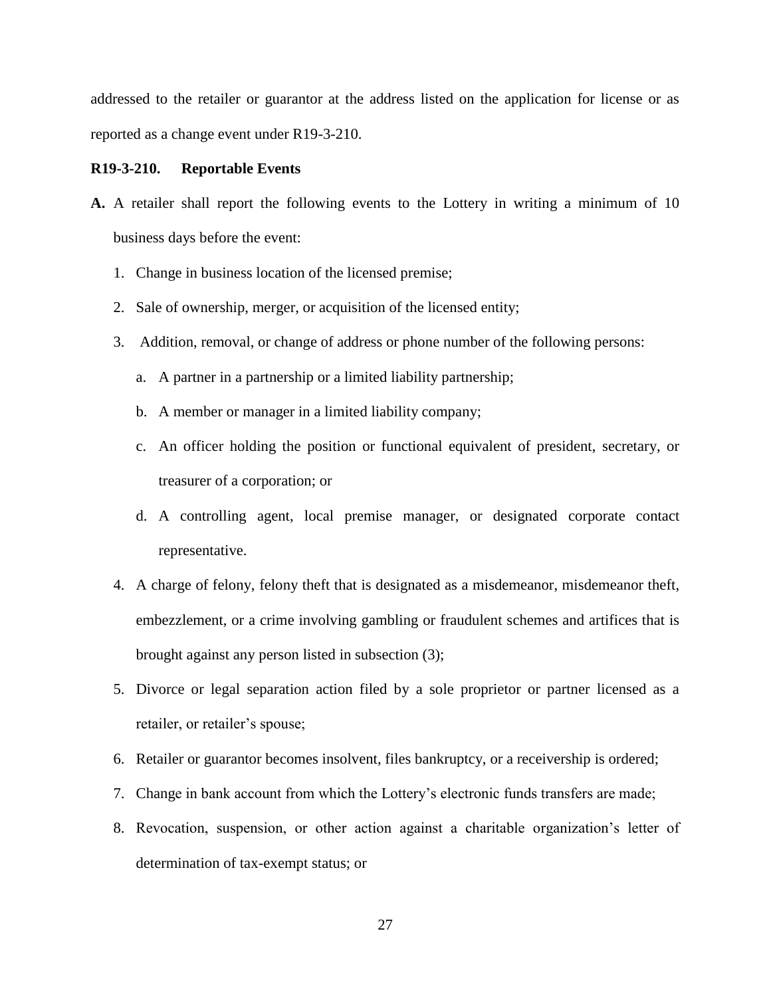addressed to the retailer or guarantor at the address listed on the application for license or as reported as a change event under R19-3-210.

#### **R19-3-210. Reportable Events**

- **A.** A retailer shall report the following events to the Lottery in writing a minimum of 10 business days before the event:
	- 1. Change in business location of the licensed premise;
	- 2. Sale of ownership, merger, or acquisition of the licensed entity;
	- 3. Addition, removal, or change of address or phone number of the following persons:
		- a. A partner in a partnership or a limited liability partnership;
		- b. A member or manager in a limited liability company;
		- c. An officer holding the position or functional equivalent of president, secretary, or treasurer of a corporation; or
		- d. A controlling agent, local premise manager, or designated corporate contact representative.
	- 4. A charge of felony, felony theft that is designated as a misdemeanor, misdemeanor theft, embezzlement, or a crime involving gambling or fraudulent schemes and artifices that is brought against any person listed in subsection (3);
	- 5. Divorce or legal separation action filed by a sole proprietor or partner licensed as a retailer, or retailer's spouse;
	- 6. Retailer or guarantor becomes insolvent, files bankruptcy, or a receivership is ordered;
	- 7. Change in bank account from which the Lottery's electronic funds transfers are made;
	- 8. Revocation, suspension, or other action against a charitable organization's letter of determination of tax-exempt status; or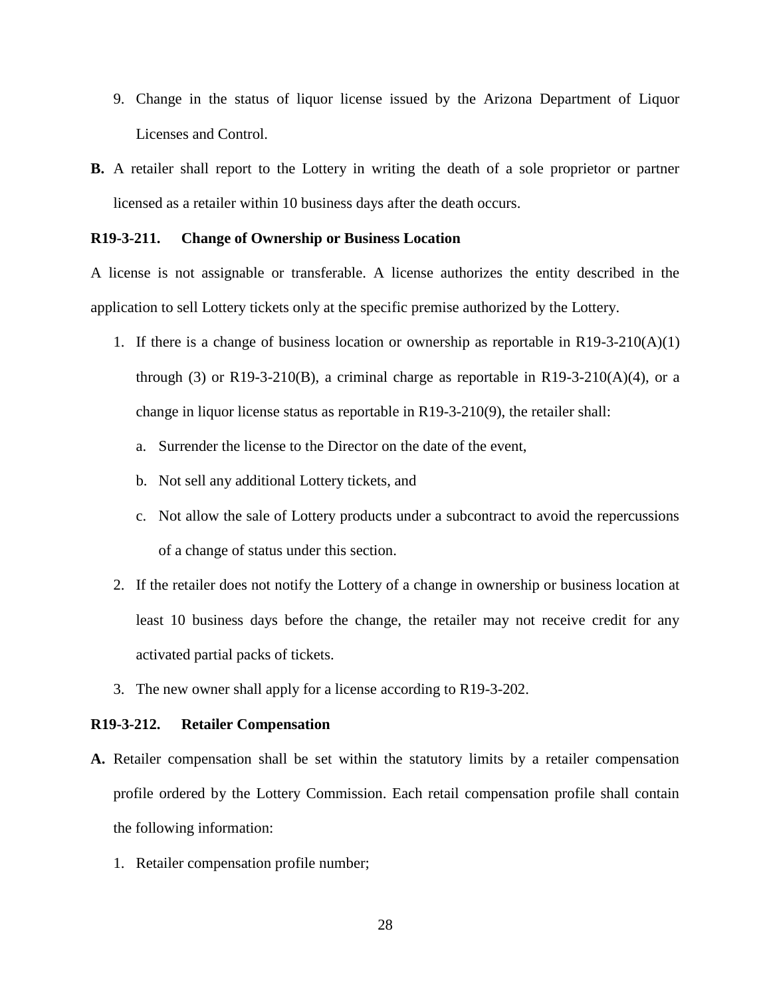- 9. Change in the status of liquor license issued by the Arizona Department of Liquor Licenses and Control.
- **B.** A retailer shall report to the Lottery in writing the death of a sole proprietor or partner licensed as a retailer within 10 business days after the death occurs.

#### **R19-3-211. Change of Ownership or Business Location**

A license is not assignable or transferable. A license authorizes the entity described in the application to sell Lottery tickets only at the specific premise authorized by the Lottery.

- 1. If there is a change of business location or ownership as reportable in  $R19-3-210(A)(1)$ through (3) or R19-3-210(B), a criminal charge as reportable in R19-3-210(A)(4), or a change in liquor license status as reportable in R19-3-210(9), the retailer shall:
	- a. Surrender the license to the Director on the date of the event,
	- b. Not sell any additional Lottery tickets, and
	- c. Not allow the sale of Lottery products under a subcontract to avoid the repercussions of a change of status under this section.
- 2. If the retailer does not notify the Lottery of a change in ownership or business location at least 10 business days before the change, the retailer may not receive credit for any activated partial packs of tickets.
- 3. The new owner shall apply for a license according to R19-3-202.

#### **R19-3-212. Retailer Compensation**

- **A.** Retailer compensation shall be set within the statutory limits by a retailer compensation profile ordered by the Lottery Commission. Each retail compensation profile shall contain the following information:
	- 1. Retailer compensation profile number;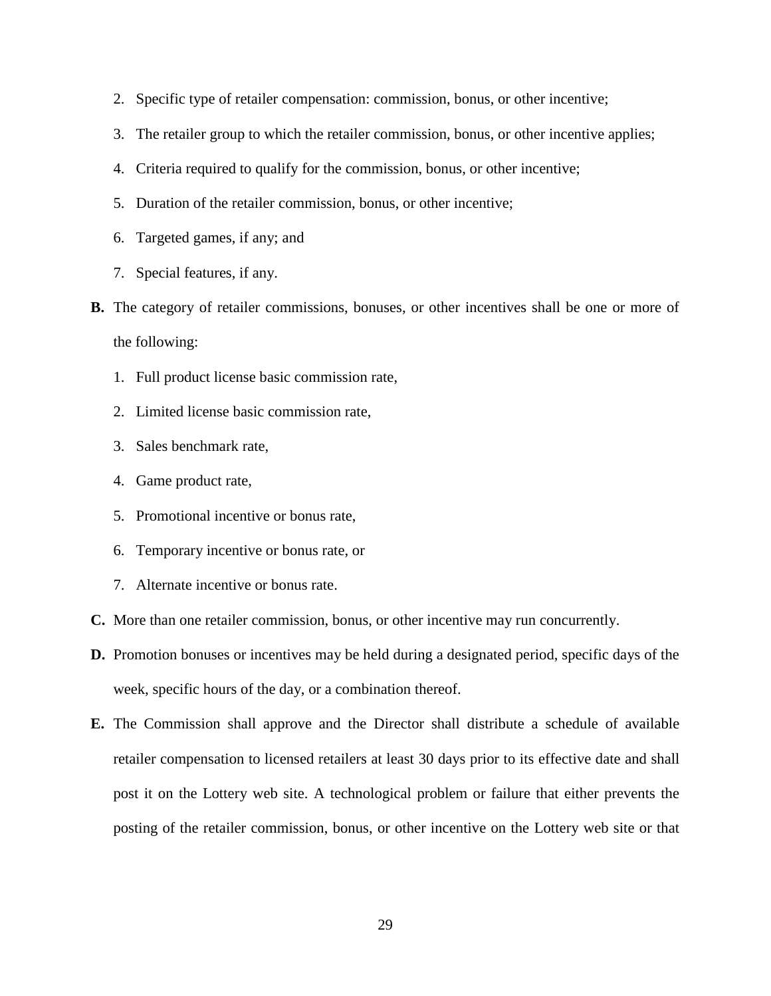- 2. Specific type of retailer compensation: commission, bonus, or other incentive;
- 3. The retailer group to which the retailer commission, bonus, or other incentive applies;
- 4. Criteria required to qualify for the commission, bonus, or other incentive;
- 5. Duration of the retailer commission, bonus, or other incentive;
- 6. Targeted games, if any; and
- 7. Special features, if any.
- **B.** The category of retailer commissions, bonuses, or other incentives shall be one or more of the following:
	- 1. Full product license basic commission rate,
	- 2. Limited license basic commission rate,
	- 3. Sales benchmark rate,
	- 4. Game product rate,
	- 5. Promotional incentive or bonus rate,
	- 6. Temporary incentive or bonus rate, or
	- 7. Alternate incentive or bonus rate.
- **C.** More than one retailer commission, bonus, or other incentive may run concurrently.
- **D.** Promotion bonuses or incentives may be held during a designated period, specific days of the week, specific hours of the day, or a combination thereof.
- **E.** The Commission shall approve and the Director shall distribute a schedule of available retailer compensation to licensed retailers at least 30 days prior to its effective date and shall post it on the Lottery web site. A technological problem or failure that either prevents the posting of the retailer commission, bonus, or other incentive on the Lottery web site or that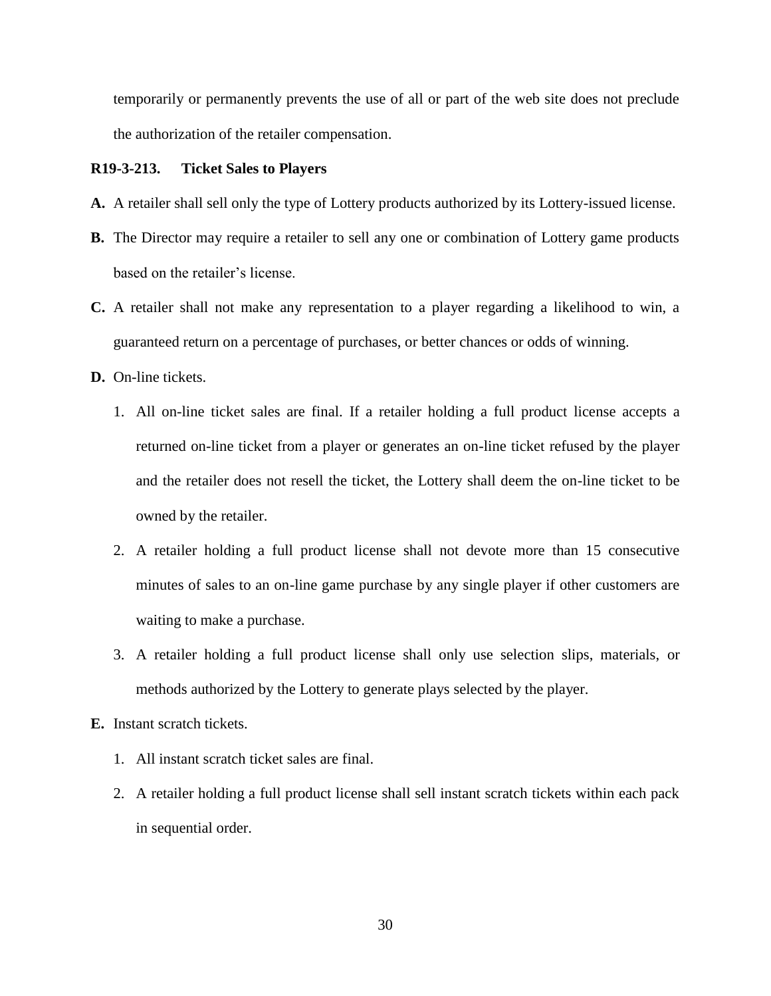temporarily or permanently prevents the use of all or part of the web site does not preclude the authorization of the retailer compensation.

#### **R19-3-213. Ticket Sales to Players**

- **A.** A retailer shall sell only the type of Lottery products authorized by its Lottery-issued license.
- **B.** The Director may require a retailer to sell any one or combination of Lottery game products based on the retailer's license.
- **C.** A retailer shall not make any representation to a player regarding a likelihood to win, a guaranteed return on a percentage of purchases, or better chances or odds of winning.
- **D.** On-line tickets.
	- 1. All on-line ticket sales are final. If a retailer holding a full product license accepts a returned on-line ticket from a player or generates an on-line ticket refused by the player and the retailer does not resell the ticket, the Lottery shall deem the on-line ticket to be owned by the retailer.
	- 2. A retailer holding a full product license shall not devote more than 15 consecutive minutes of sales to an on-line game purchase by any single player if other customers are waiting to make a purchase.
	- 3. A retailer holding a full product license shall only use selection slips, materials, or methods authorized by the Lottery to generate plays selected by the player.
- **E.** Instant scratch tickets.
	- 1. All instant scratch ticket sales are final.
	- 2. A retailer holding a full product license shall sell instant scratch tickets within each pack in sequential order.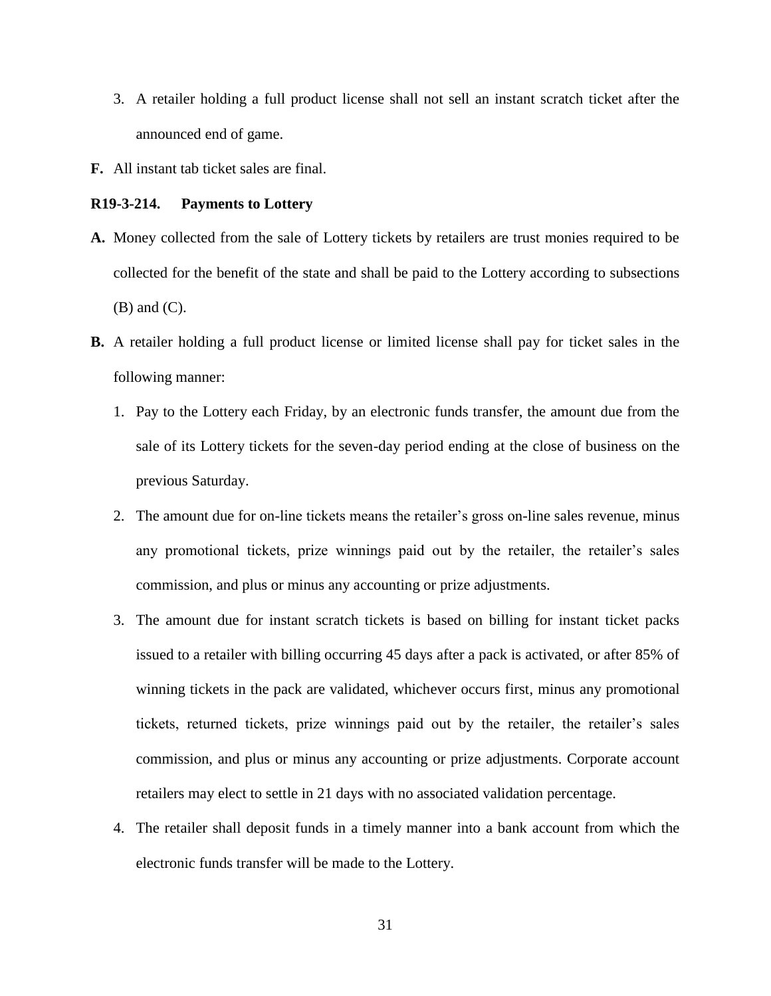- 3. A retailer holding a full product license shall not sell an instant scratch ticket after the announced end of game.
- **F.** All instant tab ticket sales are final.

### **R19-3-214. Payments to Lottery**

- **A.** Money collected from the sale of Lottery tickets by retailers are trust monies required to be collected for the benefit of the state and shall be paid to the Lottery according to subsections (B) and (C).
- **B.** A retailer holding a full product license or limited license shall pay for ticket sales in the following manner:
	- 1. Pay to the Lottery each Friday, by an electronic funds transfer, the amount due from the sale of its Lottery tickets for the seven-day period ending at the close of business on the previous Saturday.
	- 2. The amount due for on-line tickets means the retailer's gross on-line sales revenue, minus any promotional tickets, prize winnings paid out by the retailer, the retailer's sales commission, and plus or minus any accounting or prize adjustments.
	- 3. The amount due for instant scratch tickets is based on billing for instant ticket packs issued to a retailer with billing occurring 45 days after a pack is activated, or after 85% of winning tickets in the pack are validated, whichever occurs first, minus any promotional tickets, returned tickets, prize winnings paid out by the retailer, the retailer's sales commission, and plus or minus any accounting or prize adjustments. Corporate account retailers may elect to settle in 21 days with no associated validation percentage.
	- 4. The retailer shall deposit funds in a timely manner into a bank account from which the electronic funds transfer will be made to the Lottery.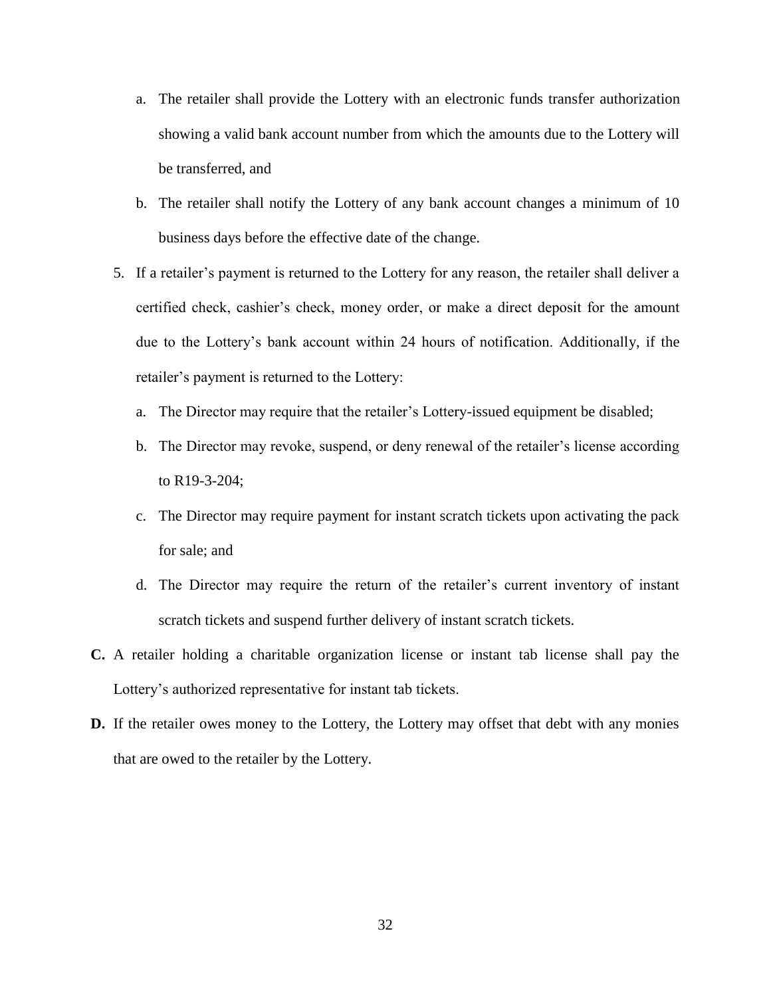- a. The retailer shall provide the Lottery with an electronic funds transfer authorization showing a valid bank account number from which the amounts due to the Lottery will be transferred, and
- b. The retailer shall notify the Lottery of any bank account changes a minimum of 10 business days before the effective date of the change.
- 5. If a retailer's payment is returned to the Lottery for any reason, the retailer shall deliver a certified check, cashier's check, money order, or make a direct deposit for the amount due to the Lottery's bank account within 24 hours of notification. Additionally, if the retailer's payment is returned to the Lottery:
	- a. The Director may require that the retailer's Lottery-issued equipment be disabled;
	- b. The Director may revoke, suspend, or deny renewal of the retailer's license according to R19-3-204;
	- c. The Director may require payment for instant scratch tickets upon activating the pack for sale; and
	- d. The Director may require the return of the retailer's current inventory of instant scratch tickets and suspend further delivery of instant scratch tickets.
- **C.** A retailer holding a charitable organization license or instant tab license shall pay the Lottery's authorized representative for instant tab tickets.
- **D.** If the retailer owes money to the Lottery, the Lottery may offset that debt with any monies that are owed to the retailer by the Lottery.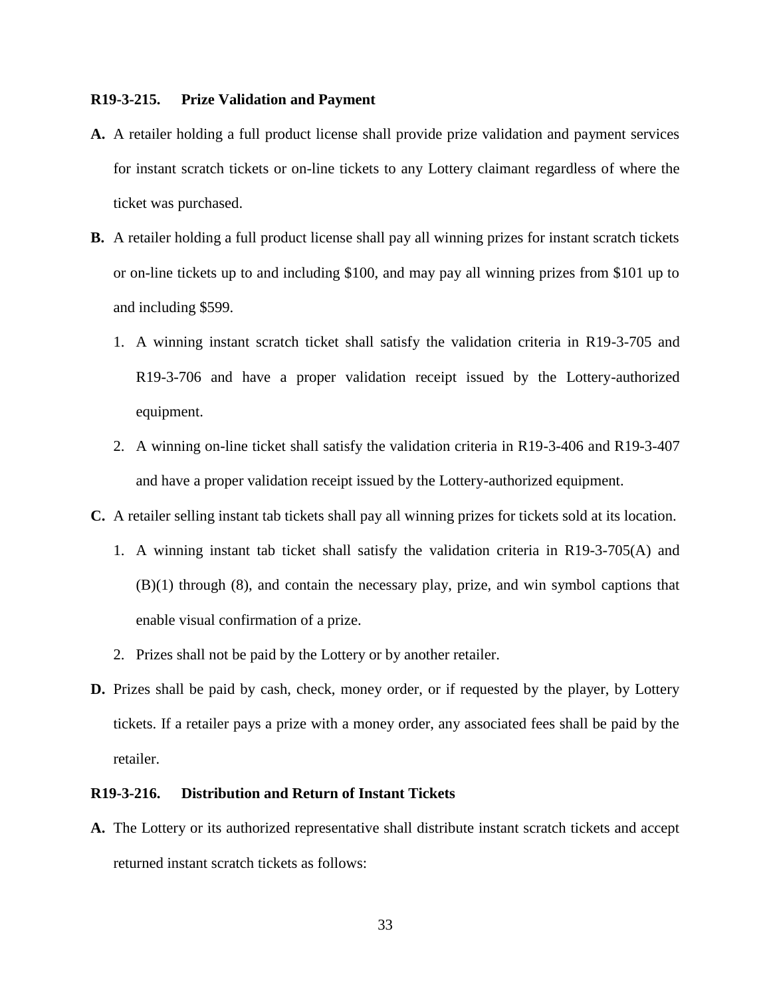### **R19-3-215. Prize Validation and Payment**

- **A.** A retailer holding a full product license shall provide prize validation and payment services for instant scratch tickets or on-line tickets to any Lottery claimant regardless of where the ticket was purchased.
- **B.** A retailer holding a full product license shall pay all winning prizes for instant scratch tickets or on-line tickets up to and including \$100, and may pay all winning prizes from \$101 up to and including \$599.
	- 1. A winning instant scratch ticket shall satisfy the validation criteria in R19-3-705 and R19-3-706 and have a proper validation receipt issued by the Lottery-authorized equipment.
	- 2. A winning on-line ticket shall satisfy the validation criteria in R19-3-406 and R19-3-407 and have a proper validation receipt issued by the Lottery-authorized equipment.
- **C.** A retailer selling instant tab tickets shall pay all winning prizes for tickets sold at its location.
	- 1. A winning instant tab ticket shall satisfy the validation criteria in R19-3-705(A) and (B)(1) through (8), and contain the necessary play, prize, and win symbol captions that enable visual confirmation of a prize.
	- 2. Prizes shall not be paid by the Lottery or by another retailer.
- **D.** Prizes shall be paid by cash, check, money order, or if requested by the player, by Lottery tickets. If a retailer pays a prize with a money order, any associated fees shall be paid by the retailer.

#### **R19-3-216. Distribution and Return of Instant Tickets**

**A.** The Lottery or its authorized representative shall distribute instant scratch tickets and accept returned instant scratch tickets as follows: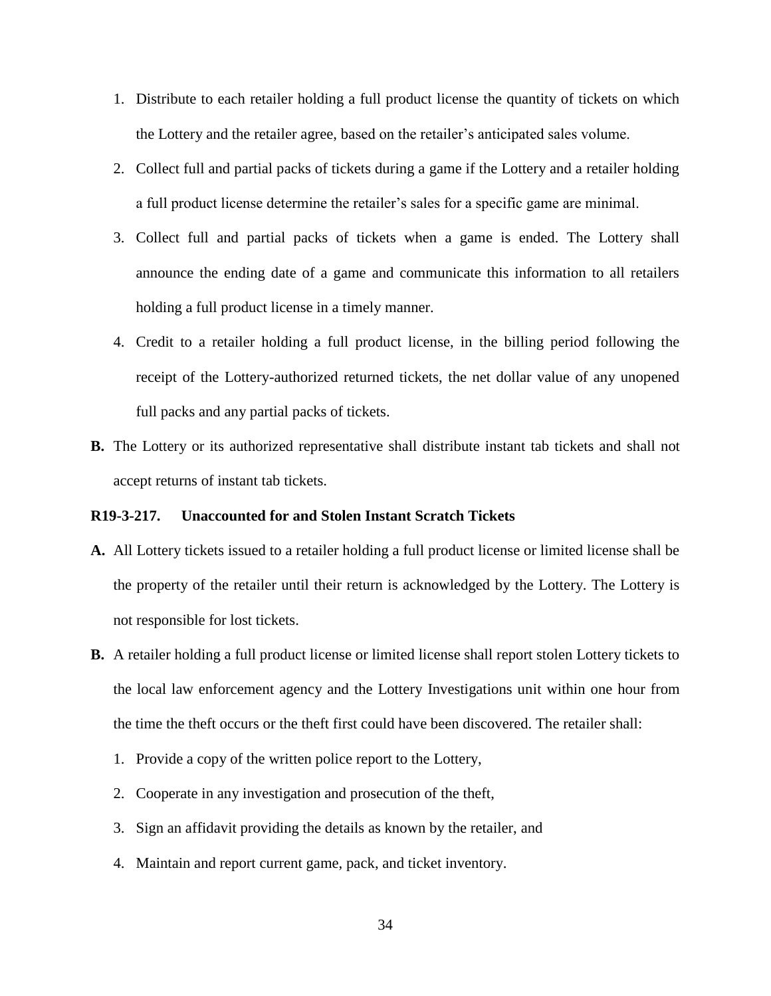- 1. Distribute to each retailer holding a full product license the quantity of tickets on which the Lottery and the retailer agree, based on the retailer's anticipated sales volume.
- 2. Collect full and partial packs of tickets during a game if the Lottery and a retailer holding a full product license determine the retailer's sales for a specific game are minimal.
- 3. Collect full and partial packs of tickets when a game is ended. The Lottery shall announce the ending date of a game and communicate this information to all retailers holding a full product license in a timely manner.
- 4. Credit to a retailer holding a full product license, in the billing period following the receipt of the Lottery-authorized returned tickets, the net dollar value of any unopened full packs and any partial packs of tickets.
- **B.** The Lottery or its authorized representative shall distribute instant tab tickets and shall not accept returns of instant tab tickets.

# **R19-3-217. Unaccounted for and Stolen Instant Scratch Tickets**

- **A.** All Lottery tickets issued to a retailer holding a full product license or limited license shall be the property of the retailer until their return is acknowledged by the Lottery. The Lottery is not responsible for lost tickets.
- **B.** A retailer holding a full product license or limited license shall report stolen Lottery tickets to the local law enforcement agency and the Lottery Investigations unit within one hour from the time the theft occurs or the theft first could have been discovered. The retailer shall:
	- 1. Provide a copy of the written police report to the Lottery,
	- 2. Cooperate in any investigation and prosecution of the theft,
	- 3. Sign an affidavit providing the details as known by the retailer, and
	- 4. Maintain and report current game, pack, and ticket inventory.